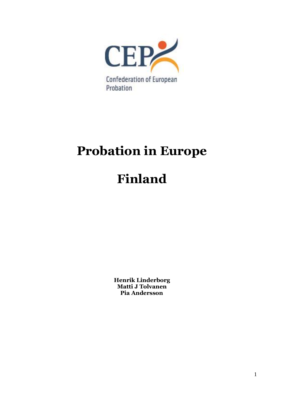

# **Probation in Europe**

# **Finland**

**Henrik Linderborg Matti J Tolvanen Pia Andersson**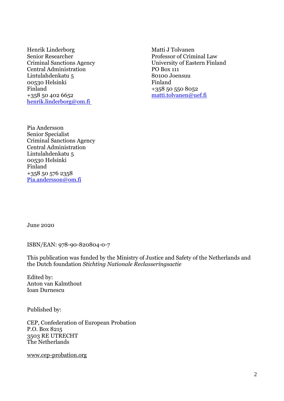Henrik Linderborg Matti J Tolvanen Senior Researcher **Professor of Criminal Law** Central Administration PO Box 111 Lintulahdenkatu 5 80100 Joensuu 00530 Helsinki Finland Finland +358 50 550 8052 +358 50 402 6652 [matti.tolvanen@uef.fi](mailto:matti.tolvanen@uef.fi) [henrik.linderborg@om.fi](mailto:henrik.linderborg@om.fi)

Criminal Sanctions Agency University of Eastern Finland

Pia Andersson Senior Specialist Criminal Sanctions Agency Central Administration Lintulahdenkatu 5 00530 Helsinki Finland +358 50 576 2358 [Pia.andersson@om.fi](mailto:Pia.andersson@om.fi)

June 2020

ISBN/EAN: 978-90-820804-0-7

This publication was funded by the Ministry of Justice and Safety of the Netherlands and the Dutch foundation *Stichting Nationale Reclasseringsactie*

Edited by: Anton van Kalmthout Ioan Durnescu

Published by:

CEP, Confederation of European Probation P.O. Box 8215 3503 RE UTRECHT The Netherlands

[www.cep-probation.org](http://www.cep-probation.org/)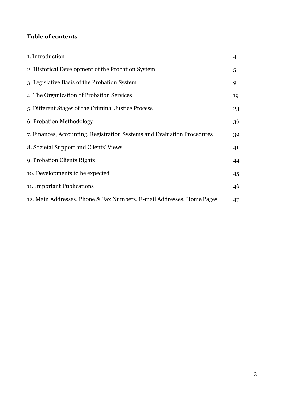# **Table of contents**

| 1. Introduction                                                         | 4  |
|-------------------------------------------------------------------------|----|
| 2. Historical Development of the Probation System                       | 5  |
| 3. Legislative Basis of the Probation System                            | 9  |
| 4. The Organization of Probation Services                               | 19 |
| 5. Different Stages of the Criminal Justice Process                     | 23 |
| 6. Probation Methodology                                                | 36 |
| 7. Finances, Accounting, Registration Systems and Evaluation Procedures | 39 |
| 8. Societal Support and Clients' Views                                  | 41 |
| 9. Probation Clients Rights                                             | 44 |
| 10. Developments to be expected                                         | 45 |
| 11. Important Publications                                              | 46 |
| 12. Main Addresses, Phone & Fax Numbers, E-mail Addresses, Home Pages   | 47 |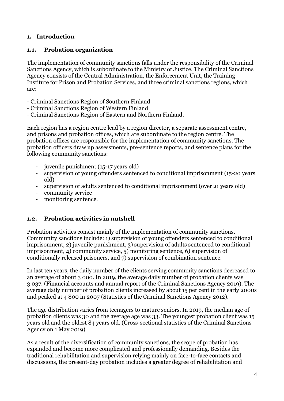#### **1. Introduction**

#### **1.1. Probation organization**

The implementation of community sanctions falls under the responsibility of the Criminal Sanctions Agency, which is subordinate to the Ministry of Justice. The Criminal Sanctions Agency consists of the Central Administration, the Enforcement Unit, the Training Institute for Prison and Probation Services, and three criminal sanctions regions, which are:

- Criminal Sanctions Region of Southern Finland
- Criminal Sanctions Region of Western Finland
- Criminal Sanctions Region of Eastern and Northern Finland.

Each region has a region centre lead by a region director, a separate assessment centre, and prisons and probation offices, which are subordinate to the region centre. The probation offices are responsible for the implementation of community sanctions. The probation officers draw up assessments, pre-sentence reports, and sentence plans for the following community sanctions:

- juvenile punishment (15-17 years old)
- supervision of young offenders sentenced to conditional imprisonment (15-20 years old)
- supervision of adults sentenced to conditional imprisonment (over 21 years old)
- community service
- monitoring sentence.

#### **1.2. Probation activities in nutshell**

Probation activities consist mainly of the implementation of community sanctions. Community sanctions include: 1) supervision of young offenders sentenced to conditional imprisonment, 2) juvenile punishment, 3) supervision of adults sentenced to conditional imprisonment, 4) community service, 5) monitoring sentence, 6) supervision of conditionally released prisoners, and 7) supervision of combination sentence.

In last ten years, the daily number of the clients serving community sanctions decreased to an average of about 3 000. In 2019, the average daily number of probation clients was 3 037. (Financial accounts and annual report of the Criminal Sanctions Agency 2019). The average daily number of probation clients increased by about 15 per cent in the early 2000s and peaked at 4 800 in 2007 (Statistics of the Criminal Sanctions Agency 2012).

The age distribution varies from teenagers to mature seniors. In 2019, the median age of probation clients was 30 and the average age was 33. The youngest probation client was 15 years old and the oldest 84 years old. (Cross-sectional statistics of the Criminal Sanctions Agency on 1 May 2019)

As a result of the diversification of community sanctions, the scope of probation has expanded and become more complicated and professionally demanding. Besides the traditional rehabilitation and supervision relying mainly on face-to-face contacts and discussions, the present-day probation includes a greater degree of rehabilitation and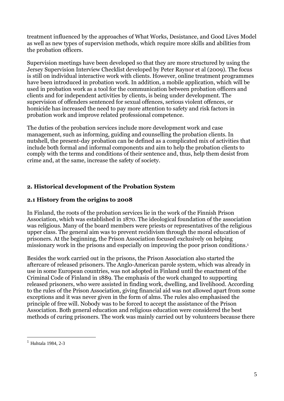treatment influenced by the approaches of What Works, Desistance, and Good Lives Model as well as new types of supervision methods, which require more skills and abilities from the probation officers.

Supervision meetings have been developed so that they are more structured by using the Jersey Supervision Interview Checklist developed by Peter Raynor et al (2009). The focus is still on individual interactive work with clients. However, online treatment programmes have been introduced in probation work. In addition, a mobile application, which will be used in probation work as a tool for the communication between probation officers and clients and for independent activities by clients, is being under development. The supervision of offenders sentenced for sexual offences, serious violent offences, or homicide has increased the need to pay more attention to safety and risk factors in probation work and improve related professional competence.

The duties of the probation services include more development work and case management, such as informing, guiding and counselling the probation clients. In nutshell, the present-day probation can be defined as a complicated mix of activities that include both formal and informal components and aim to help the probation clients to comply with the terms and conditions of their sentence and, thus, help them desist from crime and, at the same, increase the safety of society.

#### **2. Historical development of the Probation System**

#### **2.1 History from the origins to 2008**

In Finland, the roots of the probation services lie in the work of the Finnish Prison Association, which was established in 1870. The ideological foundation of the association was religious. Many of the board members were priests or representatives of the religious upper class. The general aim was to prevent recidivism through the moral education of prisoners. At the beginning, the Prison Association focused exclusively on helping missionary work in the prisons and especially on improving the poor prison conditions.<sup>1</sup>

Besides the work carried out in the prisons, the Prison Association also started the aftercare of released prisoners. The Anglo-American parole system, which was already in use in some European countries, was not adopted in Finland until the enactment of the Criminal Code of Finland in 1889. The emphasis of the work changed to supporting released prisoners, who were assisted in finding work, dwelling, and livelihood. According to the rules of the Prison Association, giving financial aid was not allowed apart from some exceptions and it was never given in the form of alms. The rules also emphasised the principle of free will. Nobody was to be forced to accept the assistance of the Prison Association. Both general education and religious education were considered the best methods of curing prisoners. The work was mainly carried out by volunteers because there

1

 $1$  Huhtala 1984, 2-3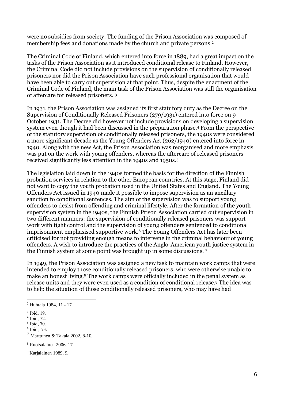were no subsidies from society. The funding of the Prison Association was composed of membership fees and donations made by the church and private persons. 2

The Criminal Code of Finland, which entered into force in 1889, had a great impact on the tasks of the Prison Association as it introduced conditional release to Finland. However, the Criminal Code did not include provisions on the supervision of conditionally released prisoners nor did the Prison Association have such professional organisation that would have been able to carry out supervision at that point. Thus, despite the enactment of the Criminal Code of Finland, the main task of the Prison Association was still the organisation of aftercare for released prisoners. <sup>3</sup>

In 1931, the Prison Association was assigned its first statutory duty as the Decree on the Supervision of Conditionally Released Prisoners (279/1931) entered into force on 9 October 1931. The Decree did however not include provisions on developing a supervision system even though it had been discussed in the preparation phase.<sup>4</sup> From the perspective of the statutory supervision of conditionally released prisoners, the 1940s were considered a more significant decade as the Young Offenders Act (262/1940) entered into force in 1940. Along with the new Act, the Prison Association was reorganised and more emphasis was put on the work with young offenders, whereas the aftercare of released prisoners received significantly less attention in the 1940s and 1950s.<sup>5</sup>

The legislation laid down in the 1940s formed the basis for the direction of the Finnish probation services in relation to the other European countries. At this stage, Finland did not want to copy the youth probation used in the United States and England. The Young Offenders Act issued in 1940 made it possible to impose supervision as an ancillary sanction to conditional sentences. The aim of the supervision was to support young offenders to desist from offending and criminal lifestyle. After the formation of the youth supervision system in the 1940s, the Finnish Prison Association carried out supervision in two different manners: the supervision of conditionally released prisoners was support work with tight control and the supervision of young offenders sentenced to conditional imprisonment emphasised supportive work.<sup>6</sup> The Young Offenders Act has later been criticised for not providing enough means to intervene in the criminal behaviour of young offenders. A wish to introduce the practices of the Anglo-American youth justice system in the Finnish system at some point was brought up in some discussions. <sup>7</sup>

In 1949, the Prison Association was assigned a new task to maintain work camps that were intended to employ those conditionally released prisoners, who were otherwise unable to make an honest living.<sup>8</sup> The work camps were officially included in the penal system as release units and they were even used as a condition of conditional release.<sup>9</sup> The idea was to help the situation of those conditionally released prisoners, who may have had

1

<sup>2</sup> Huhtala 1984, 11 - 17.

<sup>3</sup> Ibid, 19.

<sup>4</sup> Ibid, 72.

<sup>5</sup> Ibid, 70.

<sup>6</sup> Ibid, 73.

<sup>7</sup> Marttunen & Takala 2002, 8-10.

<sup>8</sup> Ruotsalainen 2006, 17.

<sup>9</sup> Karjalainen 1989, 9.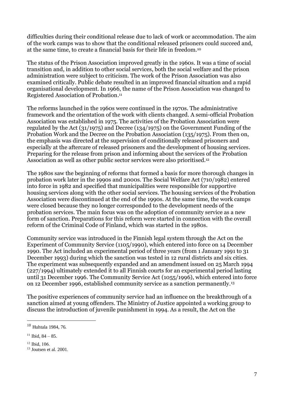difficulties during their conditional release due to lack of work or accommodation. The aim of the work camps was to show that the conditional released prisoners could succeed and, at the same time, to create a financial basis for their life in freedom.<sup>10</sup>

The status of the Prison Association improved greatly in the 1960s. It was a time of social transition and, in addition to other social services, both the social welfare and the prison administration were subject to criticism. The work of the Prison Association was also examined critically. Public debate resulted in an improved financial situation and a rapid organisational development. In 1966, the name of the Prison Association was changed to Registered Association of Probation. 11

The reforms launched in the 1960s were continued in the 1970s. The administrative framework and the orientation of the work with clients changed. A semi-official Probation Association was established in 1975. The activities of the Probation Association were regulated by the Act (31/1975) and Decree (134/1975) on the Government Funding of the Probation Work and the Decree on the Probation Association (135/1975). From then on, the emphasis was directed at the supervision of conditionally released prisoners and especially at the aftercare of released prisoners and the development of housing services. Preparing for the release from prison and informing about the services of the Probation Association as well as other public sector services were also prioritised.<sup>12</sup>

The 1980s saw the beginning of reforms that formed a basis for more thorough changes in probation work later in the 1990s and 2000s. The Social Welfare Act (710/1982) entered into force in 1982 and specified that municipalities were responsible for supportive housing services along with the other social services. The housing services of the Probation Association were discontinued at the end of the 1990s. At the same time, the work camps were closed because they no longer corresponded to the development needs of the probation services. The main focus was on the adoption of community service as a new form of sanction. Preparations for this reform were started in connection with the overall reform of the Criminal Code of Finland, which was started in the 1980s.

Community service was introduced in the Finnish legal system through the Act on the Experiment of Community Service (1105/1990), which entered into force on 14 December 1990. The Act included an experimental period of three years (from 1 January 1991 to 31 December 1993) during which the sanction was tested in 12 rural districts and six cities. The experiment was subsequently expanded and an amendment issued on 25 March 1994 (227/1994) ultimately extended it to all Finnish courts for an experimental period lasting until 31 December 1996. The Community Service Act (1055/1996), which entered into force on 12 December 1996, established community service as a sanction permanently.<sup>13</sup>

The positive experiences of community service had an influence on the breakthrough of a sanction aimed at young offenders. The Ministry of Justice appointed a working group to discuss the introduction of juvenile punishment in 1994. As a result, the Act on the

<u>.</u>

<sup>10</sup> Huhtala 1984, 76.

<sup>&</sup>lt;sup>11</sup> Ibid,  $84 - 85$ .

<sup>12</sup> Ibid, 106.

<sup>13</sup> Joutsen et al. 2001.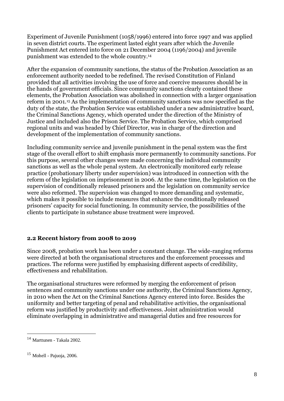Experiment of Juvenile Punishment (1058/1996) entered into force 1997 and was applied in seven district courts. The experiment lasted eight years after which the Juvenile Punishment Act entered into force on 21 December 2004 (1196/2004) and juvenile punishment was extended to the whole country.<sup>14</sup>

After the expansion of community sanctions, the status of the Probation Association as an enforcement authority needed to be redefined. The revised Constitution of Finland provided that all activities involving the use of force and coercive measures should be in the hands of government officials. Since community sanctions clearly contained these elements, the Probation Association was abolished in connection with a larger organisation reform in 2001.<sup>15</sup> As the implementation of community sanctions was now specified as the duty of the state, the Probation Service was established under a new administrative board, the Criminal Sanctions Agency, which operated under the direction of the Ministry of Justice and included also the Prison Service. The Probation Service, which comprised regional units and was headed by Chief Director, was in charge of the direction and development of the implementation of community sanctions.

Including community service and juvenile punishment in the penal system was the first stage of the overall effort to shift emphasis more permanently to community sanctions. For this purpose, several other changes were made concerning the individual community sanctions as well as the whole penal system. An electronically monitored early release practice (probationary liberty under supervision) was introduced in connection with the reform of the legislation on imprisonment in 2006. At the same time, the legislation on the supervision of conditionally released prisoners and the legislation on community service were also reformed. The supervision was changed to more demanding and systematic, which makes it possible to include measures that enhance the conditionally released prisoners' capacity for social functioning. In community service, the possibilities of the clients to participate in substance abuse treatment were improved.

# **2.2 Recent history from 2008 to 2019**

Since 2008, probation work has been under a constant change. The wide-ranging reforms were directed at both the organisational structures and the enforcement processes and practices. The reforms were justified by emphasising different aspects of credibility, effectiveness and rehabilitation.

The organisational structures were reformed by merging the enforcement of prison sentences and community sanctions under one authority, the Criminal Sanctions Agency, in 2010 when the Act on the Criminal Sanctions Agency entered into force. Besides the uniformity and better targeting of penal and rehabilitative activities, the organisational reform was justified by productivity and effectiveness. Joint administration would eliminate overlapping in administrative and managerial duties and free resources for

<u>.</u>

<sup>14</sup> Marttunen - Takala 2002.

 $15$  Mohell - Pajuoja, 2006.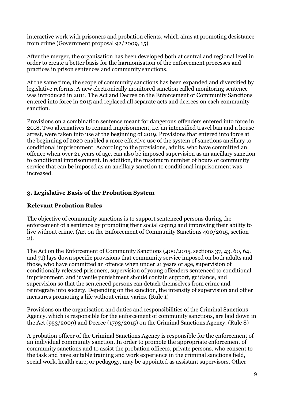interactive work with prisoners and probation clients, which aims at promoting desistance from crime (Government proposal 92/2009, 15).

After the merger, the organisation has been developed both at central and regional level in order to create a better basis for the harmonisation of the enforcement processes and practices in prison sentences and community sanctions.

At the same time, the scope of community sanctions has been expanded and diversified by legislative reforms. A new electronically monitored sanction called monitoring sentence was introduced in 2011. The Act and Decree on the Enforcement of Community Sanctions entered into force in 2015 and replaced all separate acts and decrees on each community sanction.

Provisions on a combination sentence meant for dangerous offenders entered into force in 2018. Two alternatives to remand imprisonment, i.e. an intensified travel ban and a house arrest, were taken into use at the beginning of 2019. Provisions that entered into force at the beginning of 2020 enabled a more effective use of the system of sanctions ancillary to conditional imprisonment. According to the provisions, adults, who have committed an offence when over 21 years of age, can also be imposed supervision as an ancillary sanction to conditional imprisonment. In addition, the maximum number of hours of community service that can be imposed as an ancillary sanction to conditional imprisonment was increased.

# **3. Legislative Basis of the Probation System**

# **Relevant Probation Rules**

The objective of community sanctions is to support sentenced persons during the enforcement of a sentence by promoting their social coping and improving their ability to live without crime. (Act on the Enforcement of Community Sanctions 400/2015, section  $2)$ .

The Act on the Enforcement of Community Sanctions (400/2015, sections 37, 43, 60, 64, and 71) lays down specific provisions that community service imposed on both adults and those, who have committed an offence when under 21 years of age, supervision of conditionally released prisoners, supervision of young offenders sentenced to conditional imprisonment, and juvenile punishment should contain support, guidance, and supervision so that the sentenced persons can detach themselves from crime and reintegrate into society. Depending on the sanction, the intensity of supervision and other measures promoting a life without crime varies. (Rule 1)

Provisions on the organisation and duties and responsibilities of the Criminal Sanctions Agency, which is responsible for the enforcement of community sanctions, are laid down in the Act (953/2009) and Decree (1793/2015) on the Criminal Sanctions Agency. (Rule 8)

A probation officer of the Criminal Sanctions Agency is responsible for the enforcement of an individual community sanction. In order to promote the appropriate enforcement of community sanctions and to assist the probation officers, private persons, who consent to the task and have suitable training and work experience in the criminal sanctions field, social work, health care, or pedagogy, may be appointed as assistant supervisors. Other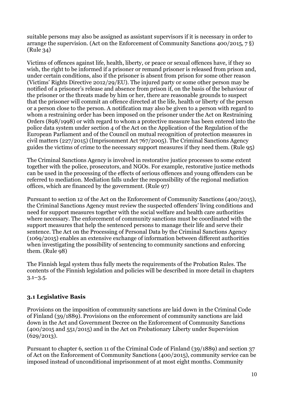suitable persons may also be assigned as assistant supervisors if it is necessary in order to arrange the supervision. (Act on the Enforcement of Community Sanctions 400/2015, 7 §) (Rule 34)

Victims of offences against life, health, liberty, or peace or sexual offences have, if they so wish, the right to be informed if a prisoner or remand prisoner is released from prison and, under certain conditions, also if the prisoner is absent from prison for some other reason (Victims' Rights Directive 2012/29/EU). The injured party or some other person may be notified of a prisoner's release and absence from prison if, on the basis of the behaviour of the prisoner or the threats made by him or her, there are reasonable grounds to suspect that the prisoner will commit an offence directed at the life, health or liberty of the person or a person close to the person. A notification may also be given to a person with regard to whom a restraining order has been imposed on the prisoner under the Act on Restraining Orders (898/1998) or with regard to whom a protective measure has been entered into the police data system under section 4 of the Act on the Application of the Regulation of the European Parliament and of the Council on mutual recognition of protection measures in civil matters (227/2015) (Imprisonment Act 767/2005). The Criminal Sanctions Agency guides the victims of crime to the necessary support measures if they need them. (Rule 95)

The Criminal Sanctions Agency is involved in restorative justice processes to some extent together with the police, prosecutors, and NGOs. For example, restorative justice methods can be used in the processing of the effects of serious offences and young offenders can be referred to mediation. Mediation falls under the responsibility of the regional mediation offices, which are financed by the government. (Rule 97)

Pursuant to section 12 of the Act on the Enforcement of Community Sanctions (400/2015), the Criminal Sanctions Agency must review the suspected offenders' living conditions and need for support measures together with the social welfare and health care authorities where necessary. The enforcement of community sanctions must be coordinated with the support measures that help the sentenced persons to manage their life and serve their sentence. The Act on the Processing of Personal Data by the Criminal Sanctions Agency (1069/2015) enables an extensive exchange of information between different authorities when investigating the possibility of sentencing to community sanctions and enforcing them. (Rule 98)

The Finnish legal system thus fully meets the requirements of the Probation Rules. The contents of the Finnish legislation and policies will be described in more detail in chapters 3.1–3.5.

# **3.1 Legislative Basis**

Provisions on the imposition of community sanctions are laid down in the Criminal Code of Finland (39/1889). Provisions on the enforcement of community sanctions are laid down in the Act and Government Decree on the Enforcement of Community Sanctions (400/2015 and 551/2015) and in the Act on Probationary Liberty under Supervision (629/2013).

Pursuant to chapter 6, section 11 of the Criminal Code of Finland (39/1889) and section 37 of Act on the Enforcement of Community Sanctions (400/2015), community service can be imposed instead of unconditional imprisonment of at most eight months. Community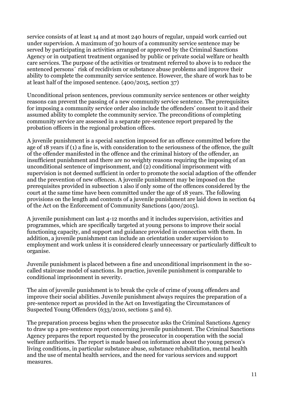service consists of at least 14 and at most 240 hours of regular, unpaid work carried out under supervision. A maximum of 30 hours of a community service sentence may be served by participating in activities arranged or approved by the Criminal Sanctions Agency or in outpatient treatment organised by public or private social welfare or health care services. The purpose of the activities or treatment referred to above is to reduce the sentenced persons´ risk of recidivism or substance abuse problems and improve their ability to complete the community service sentence. However, the share of work has to be at least half of the imposed sentence. (400/2015, section 37)

Unconditional prison sentences, previous community service sentences or other weighty reasons can prevent the passing of a new community service sentence. The prerequisites for imposing a community service order also include the offenders' consent to it and their assumed ability to complete the community service. The preconditions of completing community service are assessed in a separate pre-sentence report prepared by the probation officers in the regional probation offices.

A juvenile punishment is a special sanction imposed for an offence committed before the age of 18 years if (1) a fine is, with consideration to the seriousness of the offence, the guilt of the offender manifested in the offence and the criminal history of the offender, an insufficient punishment and there are no weighty reasons requiring the imposing of an unconditional sentence of imprisonment, and (2) conditional imprisonment with supervision is not deemed sufficient in order to promote the social adaption of the offender and the prevention of new offences. A juvenile punishment may be imposed on the prerequisites provided in subsection 1 also if only some of the offences considered by the court at the same time have been committed under the age of 18 years. The following provisions on the length and contents of a juvenile punishment are laid down in section 64 of the Act on the Enforcement of Community Sanctions (400/2015).

A juvenile punishment can last 4-12 months and it includes supervision, activities and programmes, which are specifically targeted at young persons to improve their social functioning capacity, and support and guidance provided in connection with them. In addition, a juvenile punishment can include an orientation under supervision to employment and work unless it is considered clearly unnecessary or particularly difficult to organise.

Juvenile punishment is placed between a fine and unconditional imprisonment in the socalled staircase model of sanctions. In practice, juvenile punishment is comparable to conditional imprisonment in severity.

The aim of juvenile punishment is to break the cycle of crime of young offenders and improve their social abilities. Juvenile punishment always requires the preparation of a pre-sentence report as provided in the Act on Investigating the Circumstances of Suspected Young Offenders (633/2010, sections 5 and 6).

The preparation process begins when the prosecutor asks the Criminal Sanctions Agency to draw up a pre-sentence report concerning juvenile punishment. The Criminal Sanctions Agency prepares the report requested by the prosecutor in cooperation with the social welfare authorities. The report is made based on information about the young person's living conditions, in particular substance abuse, substance rehabilitation, mental health and the use of mental health services, and the need for various services and support measures.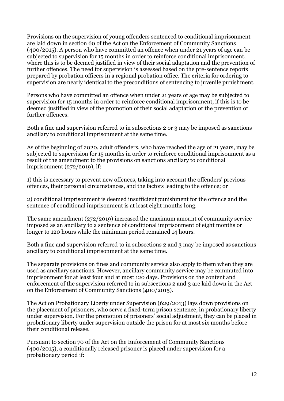Provisions on the supervision of young offenders sentenced to conditional imprisonment are laid down in section 60 of the Act on the Enforcement of Community Sanctions (400/2015). A person who have committed an offence when under 21 years of age can be subjected to supervision for 15 months in order to reinforce conditional imprisonment, where this is to be deemed justified in view of their social adaptation and the prevention of further offences. The need for supervision is assessed based on the pre-sentence reports prepared by probation officers in a regional probation office. The criteria for ordering to supervision are nearly identical to the preconditions of sentencing to juvenile punishment.

Persons who have committed an offence when under 21 years of age may be subjected to supervision for 15 months in order to reinforce conditional imprisonment, if this is to be deemed justified in view of the promotion of their social adaptation or the prevention of further offences.

Both a fine and supervision referred to in subsections 2 or 3 may be imposed as sanctions ancillary to conditional imprisonment at the same time.

As of the beginning of 2020, adult offenders, who have reached the age of 21 years, may be subjected to supervision for 15 months in order to reinforce conditional imprisonment as a result of the amendment to the provisions on sanctions ancillary to conditional imprisonment (272/2019), if:

1) this is necessary to prevent new offences, taking into account the offenders' previous offences, their personal circumstances, and the factors leading to the offence; or

2) conditional imprisonment is deemed insufficient punishment for the offence and the sentence of conditional imprisonment is at least eight months long.

The same amendment (272/2019) increased the maximum amount of community service imposed as an ancillary to a sentence of conditional imprisonment of eight months or longer to 120 hours while the minimum period remained 14 hours.

Both a fine and supervision referred to in subsections 2 and 3 may be imposed as sanctions ancillary to conditional imprisonment at the same time.

The separate provisions on fines and community service also apply to them when they are used as ancillary sanctions. However, ancillary community service may be commuted into imprisonment for at least four and at most 120 days. Provisions on the content and enforcement of the supervision referred to in subsections 2 and 3 are laid down in the Act on the Enforcement of Community Sanctions (400/2015).

The Act on Probationary Liberty under Supervision (629/2013) lays down provisions on the placement of prisoners, who serve a fixed-term prison sentence, in probationary liberty under supervision. For the promotion of prisoners' social adjustment, they can be placed in probationary liberty under supervision outside the prison for at most six months before their conditional release.

Pursuant to section 70 of the Act on the Enforcement of Community Sanctions (400/2015), a conditionally released prisoner is placed under supervision for a probationary period if: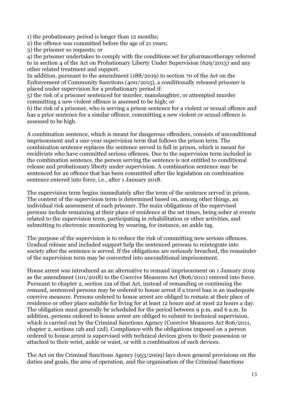1) the probationary period is longer than 12 months;

2) the offence was committed before the age of 21 years;

3) the prisoner so requests; or

4) the prisoner undertakes to comply with the conditions set for pharmacotherapy referred to in section 4 of the Act on Probationary Liberty Under Supervision (629/2013) and any other related treatment and support.

In addition, pursuant to the amendment (188/2019) to section 70 of the Act on the Enforcement of Community Sanctions (400/2015), a conditionally released prisoner is placed under supervision for a probationary period if:

5) the risk of a prisoner sentenced for murder, manslaughter, or attempted murder committing a new violent offence is assessed to be high; or

6) the risk of a prisoner, who is serving a prison sentence for a violent or sexual offence and has a prior sentence for a similar offence, committing a new violent or sexual offence is assessed to be high.

A combination sentence, which is meant for dangerous offenders, consists of unconditional imprisonment and a one-year supervision term that follows the prison term. The combination sentence replaces the sentence served in full in prison, which is meant for recidivists who have committed serious offences. Due to the supervision term included in the combination sentence, the person serving the sentence is not entitled to conditional release and probationary liberty under supervision. A combination sentence may be sentenced for an offence that has been committed after the legislation on combination sentence entered into force, i.e., after 1 January 2018.

The supervision term begins immediately after the term of the sentence served in prison. The content of the supervision term is determined based on, among other things, an individual risk assessment of each prisoner. The main obligations of the supervised persons include remaining at their place of residence at the set times, being sober at events related to the supervision term, participating in rehabilitation or other activities, and submitting to electronic monitoring by wearing, for instance, an ankle tag.

The purpose of the supervision is to reduce the risk of committing new serious offences. Gradual release and included support help the sentenced persons to reintegrate into society after the sentence is served. If the obligations are seriously breached, the remainder of the supervision term may be converted into unconditional imprisonment.

House arrest was introduced as an alternative to remand imprisonment on 1 January 2019 as the amendment (101/2018) to the Coercive Measures Act (806/2011) entered into force. Pursuant to chapter 2, section 12a of that Act, instead of remanding or continuing the remand, sentenced persons may be ordered to house arrest if a travel ban is an inadequate coercive measure. Persons ordered to house arrest are obliged to remain at their place of residence or other place suitable for living for at least 12 hours and at most 22 hours a day. The obligation must generally be scheduled for the period between 9 p.m. and 6 a.m. In addition, persons ordered to house arrest are obliged to submit to technical supervision, which is carried out by the Criminal Sanctions Agency (Coercive Measures Act 806/2011, chapter 2, sections 12b and 12d). Compliance with the obligations imposed on a person ordered to house arrest is supervised with technical devices given to their possession or attached to their wrist, ankle or waist, or with a combination of such devices.

The Act on the Criminal Sanctions Agency (953/2009) lays down general provisions on the duties and goals, the area of operation, and the organisation of the Criminal Sanctions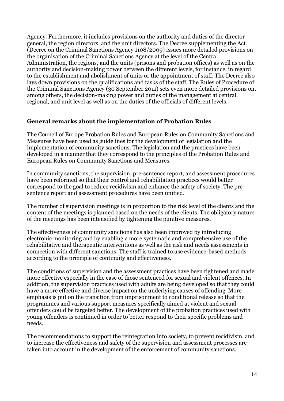Agency. Furthermore, it includes provisions on the authority and duties of the director general, the region directors, and the unit directors. The Decree supplementing the Act (Decree on the Criminal Sanctions Agency 1108/2009) issues more detailed provisions on the organisation of the Criminal Sanctions Agency at the level of the Central Administration, the regions, and the units (prisons and probation offices) as well as on the authority and decision-making power between the different levels, for instance, in regard to the establishment and abolishment of units or the appointment of staff. The Decree also lays down provisions on the qualifications and tasks of the staff. The Rules of Procedure of the Criminal Sanctions Agency (30 September 2011) sets even more detailed provisions on, among others, the decision-making power and duties of the management at central, regional, and unit level as well as on the duties of the officials of different levels.

#### **General remarks about the implementation of Probation Rules**

The Council of Europe Probation Rules and European Rules on Community Sanctions and Measures have been used as guidelines for the development of legislation and the implementation of community sanctions. The legislation and the practices have been developed in a manner that they correspond to the principles of the Probation Rules and European Rules on Community Sanctions and Measures.

In community sanctions, the supervision, pre-sentence report, and assessment procedures have been reformed so that their control and rehabilitation practices would better correspond to the goal to reduce recidivism and enhance the safety of society. The presentence report and assessment procedures have been unified.

The number of supervision meetings is in proportion to the risk level of the clients and the content of the meetings is planned based on the needs of the clients. The obligatory nature of the meetings has been intensified by tightening the punitive measures.

The effectiveness of community sanctions has also been improved by introducing electronic monitoring and by enabling a more systematic and comprehensive use of the rehabilitative and therapeutic interventions as well as the risk and needs assessments in connection with different sanctions. The staff is trained to use evidence-based methods according to the principle of continuity and effectiveness.

The conditions of supervision and the assessment practices have been tightened and made more effective especially in the case of those sentenced for sexual and violent offences. In addition, the supervision practices used with adults are being developed so that they could have a more effective and diverse impact on the underlying causes of offending. More emphasis is put on the transition from imprisonment to conditional release so that the programmes and various support measures specifically aimed at violent and sexual offenders could be targeted better. The development of the probation practices used with young offenders is continued in order to better respond to their specific problems and needs.

The recommendations to support the reintegration into society, to prevent recidivism, and to increase the effectiveness and safety of the supervision and assessment processes are taken into account in the development of the enforcement of community sanctions.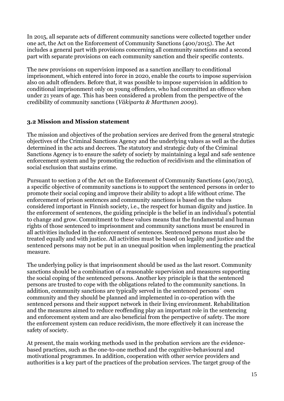In 2015, all separate acts of different community sanctions were collected together under one act, the Act on the Enforcement of Community Sanctions (400/2015). The Act includes a general part with provisions concerning all community sanctions and a second part with separate provisions on each community sanction and their specific contents.

The new provisions on supervision imposed as a sanction ancillary to conditional imprisonment, which entered into force in 2020, enable the courts to impose supervision also on adult offenders. Before that, it was possible to impose supervision in addition to conditional imprisonment only on young offenders, who had committed an offence when under 21 years of age. This has been considered a problem from the perspective of the credibility of community sanctions (*Väkiparta & Marttunen 2009*).

#### **3.2 Mission and Mission statement**

The mission and objectives of the probation services are derived from the general strategic objectives of the Criminal Sanctions Agency and the underlying values as well as the duties determined in the acts and decrees. The statutory and strategic duty of the Criminal Sanctions Agency is to ensure the safety of society by maintaining a legal and safe sentence enforcement system and by promoting the reduction of recidivism and the elimination of social exclusion that sustains crime.

Pursuant to section 2 of the Act on the Enforcement of Community Sanctions (400/2015), a specific objective of community sanctions is to support the sentenced persons in order to promote their social coping and improve their ability to adopt a life without crime. The enforcement of prison sentences and community sanctions is based on the values considered important in Finnish society, i.e., the respect for human dignity and justice. In the enforcement of sentences, the guiding principle is the belief in an individual's potential to change and grow. Commitment to these values means that the fundamental and human rights of those sentenced to imprisonment and community sanctions must be ensured in all activities included in the enforcement of sentences. Sentenced persons must also be treated equally and with justice. All activities must be based on legality and justice and the sentenced persons may not be put in an unequal position when implementing the practical measure.

The underlying policy is that imprisonment should be used as the last resort. Community sanctions should be a combination of a reasonable supervision and measures supporting the social coping of the sentenced persons. Another key principle is that the sentenced persons are trusted to cope with the obligations related to the community sanctions. In addition, community sanctions are typically served in the sentenced persons´ own community and they should be planned and implemented in co-operation with the sentenced persons and their support network in their living environment. Rehabilitation and the measures aimed to reduce reoffending play an important role in the sentencing and enforcement system and are also beneficial from the perspective of safety. The more the enforcement system can reduce recidivism, the more effectively it can increase the safety of society.

At present, the main working methods used in the probation services are the evidencebased practices, such as the one-to-one method and the cognitive-behavioural and motivational programmes. In addition, cooperation with other service providers and authorities is a key part of the practices of the probation services. The target group of the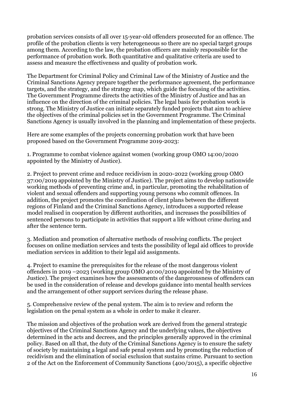probation services consists of all over 15-year-old offenders prosecuted for an offence. The profile of the probation clients is very heterogeneous so there are no special target groups among them. According to the law, the probation officers are mainly responsible for the performance of probation work. Both quantitative and qualitative criteria are used to assess and measure the effectiveness and quality of probation work.

The Department for Criminal Policy and Criminal Law of the Ministry of Justice and the Criminal Sanctions Agency prepare together the performance agreement, the performance targets, and the strategy, and the strategy map, which guide the focusing of the activities. The Government Programme directs the activities of the Ministry of Justice and has an influence on the direction of the criminal policies. The legal basis for probation work is strong. The Ministry of Justice can initiate separately funded projects that aim to achieve the objectives of the criminal policies set in the Government Programme. The Criminal Sanctions Agency is usually involved in the planning and implementation of these projects.

Here are some examples of the projects concerning probation work that have been proposed based on the Government Programme 2019-2023:

1. Programme to combat violence against women (working group OMO 14:00/2020 appointed by the Ministry of Justice).

2. Project to prevent crime and reduce recidivism in 2020-2022 (working group OMO 37:00/2019 appointed by the Ministry of Justice). The project aims to develop nationwide working methods of preventing crime and, in particular, promoting the rehabilitation of violent and sexual offenders and supporting young persons who commit offences. In addition, the project promotes the coordination of client plans between the different regions of Finland and the Criminal Sanctions Agency, introduces a supported release model realised in cooperation by different authorities, and increases the possibilities of sentenced persons to participate in activities that support a life without crime during and after the sentence term.

3. Mediation and promotion of alternative methods of resolving conflicts. The project focuses on online mediation services and tests the possibility of legal aid offices to provide mediation services in addition to their legal aid assignments.

4. Project to examine the prerequisites for the release of the most dangerous violent offenders in 2019 –2023 (working group OMO 40:00/2019 appointed by the Ministry of Justice). The project examines how the assessments of the dangerousness of offenders can be used in the consideration of release and develops guidance into mental health services and the arrangement of other support services during the release phase.

5. Comprehensive review of the penal system. The aim is to review and reform the legislation on the penal system as a whole in order to make it clearer.

The mission and objectives of the probation work are derived from the general strategic objectives of the Criminal Sanctions Agency and the underlying values, the objectives determined in the acts and decrees, and the principles generally approved in the criminal policy. Based on all that, the duty of the Criminal Sanctions Agency is to ensure the safety of society by maintaining a legal and safe penal system and by promoting the reduction of recidivism and the elimination of social exclusion that sustains crime. Pursuant to section 2 of the Act on the Enforcement of Community Sanctions (400/2015), a specific objective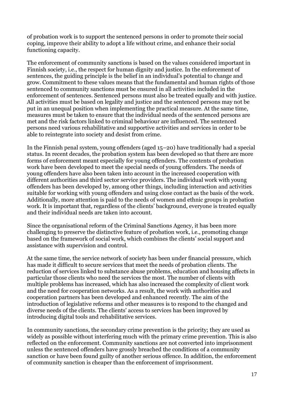of probation work is to support the sentenced persons in order to promote their social coping, improve their ability to adopt a life without crime, and enhance their social functioning capacity.

The enforcement of community sanctions is based on the values considered important in Finnish society, i.e., the respect for human dignity and justice. In the enforcement of sentences, the guiding principle is the belief in an individual's potential to change and grow. Commitment to these values means that the fundamental and human rights of those sentenced to community sanctions must be ensured in all activities included in the enforcement of sentences. Sentenced persons must also be treated equally and with justice. All activities must be based on legality and justice and the sentenced persons may not be put in an unequal position when implementing the practical measure. At the same time, measures must be taken to ensure that the individual needs of the sentenced persons are met and the risk factors linked to criminal behaviour are influenced. The sentenced persons need various rehabilitative and supportive activities and services in order to be able to reintegrate into society and desist from crime.

In the Finnish penal system, young offenders (aged 15–20) have traditionally had a special status. In recent decades, the probation system has been developed so that there are more forms of enforcement meant especially for young offenders. The contents of probation work have been developed to meet the special needs of young offenders. The needs of young offenders have also been taken into account in the increased cooperation with different authorities and third sector service providers. The individual work with young offenders has been developed by, among other things, including interaction and activities suitable for working with young offenders and using close contact as the basis of the work. Additionally, more attention is paid to the needs of women and ethnic groups in probation work. It is important that, regardless of the clients' background, everyone is treated equally and their individual needs are taken into account.

Since the organisational reform of the Criminal Sanctions Agency, it has been more challenging to preserve the distinctive feature of probation work, i.e., promoting change based on the framework of social work, which combines the clients' social support and assistance with supervision and control.

At the same time, the service network of society has been under financial pressure, which has made it difficult to secure services that meet the needs of probation clients. The reduction of services linked to substance abuse problems, education and housing affects in particular those clients who need the services the most. The number of clients with multiple problems has increased, which has also increased the complexity of client work and the need for cooperation networks. As a result, the work with authorities and cooperation partners has been developed and enhanced recently. The aim of the introduction of legislative reforms and other measures is to respond to the changed and diverse needs of the clients. The clients' access to services has been improved by introducing digital tools and rehabilitative services.

In community sanctions, the secondary crime prevention is the priority; they are used as widely as possible without interfering much with the primary crime prevention. This is also reflected on the enforcement. Community sanctions are not converted into imprisonment unless the sentenced offenders have grossly breached the conditions of a community sanction or have been found guilty of another serious offence. In addition, the enforcement of community sanction is cheaper than the enforcement of imprisonment.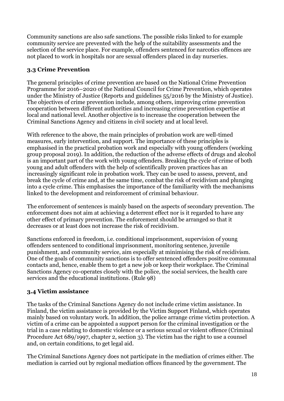Community sanctions are also safe sanctions. The possible risks linked to for example community service are prevented with the help of the suitability assessments and the selection of the service place. For example, offenders sentenced for narcotics offences are not placed to work in hospitals nor are sexual offenders placed in day nurseries.

# **3.3 Crime Prevention**

The general principles of crime prevention are based on the National Crime Prevention Programme for 2016–2020 of the National Council for Crime Prevention, which operates under the Ministry of Justice (Reports and guidelines 55/2016 by the Ministry of Justice). The objectives of crime prevention include, among others, improving crime prevention cooperation between different authorities and increasing crime prevention expertise at local and national level. Another objective is to increase the cooperation between the Criminal Sanctions Agency and citizens in civil society and at local level.

With reference to the above, the main principles of probation work are well-timed measures, early intervention, and support. The importance of these principles is emphasised in the practical probation work and especially with young offenders (working group proposal 2019). In addition, the reduction of the adverse effects of drugs and alcohol is an important part of the work with young offenders. Breaking the cycle of crime of both young and adult offenders with the help of scientifically proven practices has an increasingly significant role in probation work. They can be used to assess, prevent, and break the cycle of crime and, at the same time, combat the risk of recidivism and plunging into a cycle crime. This emphasises the importance of the familiarity with the mechanisms linked to the development and reinforcement of criminal behaviour.

The enforcement of sentences is mainly based on the aspects of secondary prevention. The enforcement does not aim at achieving a deterrent effect nor is it regarded to have any other effect of primary prevention. The enforcement should be arranged so that it decreases or at least does not increase the risk of recidivism.

Sanctions enforced in freedom, i.e. conditional imprisonment, supervision of young offenders sentenced to conditional imprisonment, monitoring sentence, juvenile punishment, and community service, aim especially at minimising the risk of recidivism. One of the goals of community sanctions is to offer sentenced offenders positive communal contacts and, hence, enable them to get a new job or keep their workplace. The Criminal Sanctions Agency co-operates closely with the police, the social services, the health care services and the educational institutions. (Rule 98)

# **3.4 Victim assistance**

The tasks of the Criminal Sanctions Agency do not include crime victim assistance. In Finland, the victim assistance is provided by the Victim Support Finland, which operates mainly based on voluntary work. In addition, the police arrange crime victim protection. A victim of a crime can be appointed a support person for the criminal investigation or the trial in a case relating to domestic violence or a serious sexual or violent offence (Criminal Procedure Act 689/1997, chapter 2, section 3). The victim has the right to use a counsel and, on certain conditions, to get legal aid.

The Criminal Sanctions Agency does not participate in the mediation of crimes either. The mediation is carried out by regional mediation offices financed by the government. The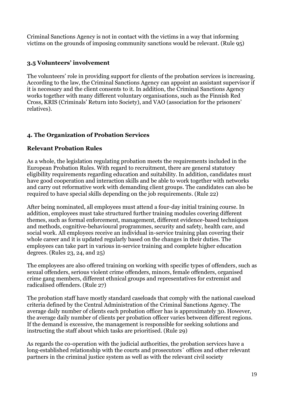Criminal Sanctions Agency is not in contact with the victims in a way that informing victims on the grounds of imposing community sanctions would be relevant. (Rule 95)

# **3.5 Volunteers' involvement**

The volunteers' role in providing support for clients of the probation services is increasing. According to the law, the Criminal Sanctions Agency can appoint an assistant supervisor if it is necessary and the client consents to it. In addition, the Criminal Sanctions Agency works together with many different voluntary organisations, such as the Finnish Red Cross, KRIS (Criminals' Return into Society), and VAO (association for the prisoners' relatives).

# **4. The Organization of Probation Services**

# **Relevant Probation Rules**

As a whole, the legislation regulating probation meets the requirements included in the European Probation Rules. With regard to recruitment, there are general statutory eligibility requirements regarding education and suitability. In addition, candidates must have good cooperation and interaction skills and be able to work together with networks and carry out reformative work with demanding client groups. The candidates can also be required to have special skills depending on the job requirements. (Rule 22)

After being nominated, all employees must attend a four-day initial training course. In addition, employees must take structured further training modules covering different themes, such as formal enforcement, management, different evidence-based techniques and methods, cognitive-behavioural programmes, security and safety, health care, and social work. All employees receive an individual in-service training plan covering their whole career and it is updated regularly based on the changes in their duties. The employees can take part in various in-service training and complete higher education degrees. (Rules 23, 24, and 25)

The employees are also offered training on working with specific types of offenders, such as sexual offenders, serious violent crime offenders, minors, female offenders, organised crime gang members, different ethnical groups and representatives for extremist and radicalised offenders. (Rule 27)

The probation staff have mostly standard caseloads that comply with the national caseload criteria defined by the Central Administration of the Criminal Sanctions Agency. The average daily number of clients each probation officer has is approximately 30. However, the average daily number of clients per probation officer varies between different regions. If the demand is excessive, the management is responsible for seeking solutions and instructing the staff about which tasks are prioritised. (Rule 29)

As regards the co-operation with the judicial authorities, the probation services have a long-established relationship with the courts and prosecutors´ offices and other relevant partners in the criminal justice system as well as with the relevant civil society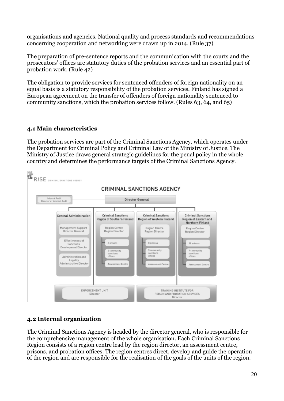organisations and agencies. National quality and process standards and recommendations concerning cooperation and networking were drawn up in 2014. (Rule 37)

The preparation of pre-sentence reports and the communication with the courts and the prosecutors' offices are statutory duties of the probation services and an essential part of probation work. (Rule 42)

The obligation to provide services for sentenced offenders of foreign nationality on an equal basis is a statutory responsibility of the probation services. Finland has signed a European agreement on the transfer of offenders of foreign nationality sentenced to community sanctions, which the probation services follow. (Rules 63, 64, and 65)

#### **4.1 Main characteristics**

The probation services are part of the Criminal Sanctions Agency, which operates under the Department for Criminal Policy and Criminal Law of the Ministry of Justice. The Ministry of Justice draws general strategic guidelines for the penal policy in the whole country and determines the performance targets of the Criminal Sanctions Agency.



# **4.2 Internal organization**

The Criminal Sanctions Agency is headed by the director general, who is responsible for the comprehensive management of the whole organisation. Each Criminal Sanctions Region consists of a region centre lead by the region director, an assessment centre, prisons, and probation offices. The region centres direct, develop and guide the operation of the region and are responsible for the realisation of the goals of the units of the region.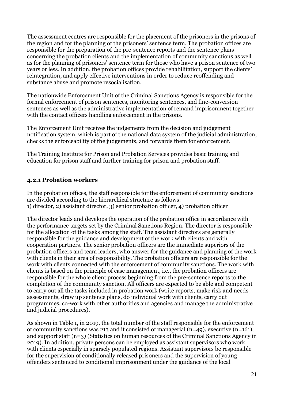The assessment centres are responsible for the placement of the prisoners in the prisons of the region and for the planning of the prisoners' sentence term. The probation offices are responsible for the preparation of the pre-sentence reports and the sentence plans concerning the probation clients and the implementation of community sanctions as well as for the planning of prisoners' sentence term for those who have a prison sentence of two years or less. In addition, the probation offices provide rehabilitation, support the clients' reintegration, and apply effective interventions in order to reduce reoffending and substance abuse and promote resocialisation.

The nationwide Enforcement Unit of the Criminal Sanctions Agency is responsible for the formal enforcement of prison sentences, monitoring sentences, and fine-conversion sentences as well as the administrative implementation of remand imprisonment together with the contact officers handling enforcement in the prisons.

The Enforcement Unit receives the judgements from the decision and judgement notification system, which is part of the national data system of the judicial administration, checks the enforceability of the judgements, and forwards them for enforcement.

The Training Institute for Prison and Probation Services provides basic training and education for prison staff and further training for prison and probation staff.

#### **4.2.1 Probation workers**

In the probation offices, the staff responsible for the enforcement of community sanctions are divided according to the hierarchical structure as follows: 1) director, 2) assistant director, 3) senior probation officer, 4) probation officer

The director leads and develops the operation of the probation office in accordance with the performance targets set by the Criminal Sanctions Region. The director is responsible for the allocation of the tasks among the staff. The assistant directors are generally responsible for the guidance and development of the work with clients and with cooperation partners. The senior probation officers are the immediate superiors of the probation officers and team leaders, who answer for the guidance and planning of the work with clients in their area of responsibility. The probation officers are responsible for the work with clients connected with the enforcement of community sanctions. The work with clients is based on the principle of case management, i.e., the probation officers are responsible for the whole client process beginning from the pre-sentence reports to the completion of the community sanction. All officers are expected to be able and competent to carry out all the tasks included in probation work (write reports, make risk and needs assessments, draw up sentence plans, do individual work with clients, carry out programmes, co-work with other authorities and agencies and manage the administrative and judicial procedures).

As shown in Table 1, in 2019, the total number of the staff responsible for the enforcement of community sanctions was 213 and it consisted of managerial (n=49), executive (n=161), and support staff (n=3) (Statistics on human resources of the Criminal Sanctions Agency in 2019). In addition, private persons can be employed as assistant supervisors who work with clients especially in sparsely populated regions. Assistant supervisors be responsible for the supervision of conditionally released prisoners and the supervision of young offenders sentenced to conditional imprisonment under the guidance of the local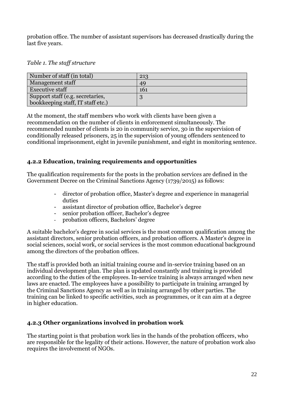probation office. The number of assistant supervisors has decreased drastically during the last five years.

| Number of staff (in total)        | 213 |
|-----------------------------------|-----|
| <b>Management staff</b>           | 49  |
| <b>Executive staff</b>            | 161 |
| Support staff (e.g. secretaries,  |     |
| bookkeeping staff, IT staff etc.) |     |

At the moment, the staff members who work with clients have been given a recommendation on the number of clients in enforcement simultaneously. The recommended number of clients is 20 in community service, 30 in the supervision of conditionally released prisoners, 25 in the supervision of young offenders sentenced to conditional imprisonment, eight in juvenile punishment, and eight in monitoring sentence.

#### **4.2.2 Education, training requirements and opportunities**

The qualification requirements for the posts in the probation services are defined in the Government Decree on the Criminal Sanctions Agency (1739/2015) as follows:

- director of probation office, Master's degree and experience in managerial duties
- assistant director of probation office, Bachelor's degree
- senior probation officer, Bachelor's degree
- probation officers, Bachelors' degree

A suitable bachelor's degree in social services is the most common qualification among the assistant directors, senior probation officers, and probation officers. A Master's degree in social sciences, social work, or social services is the most common educational background among the directors of the probation offices.

The staff is provided both an initial training course and in-service training based on an individual development plan. The plan is updated constantly and training is provided according to the duties of the employees. In-service training is always arranged when new laws are enacted. The employees have a possibility to participate in training arranged by the Criminal Sanctions Agency as well as in training arranged by other parties. The training can be linked to specific activities, such as programmes, or it can aim at a degree in higher education.

# **4.2.3 Other organizations involved in probation work**

The starting point is that probation work lies in the hands of the probation officers, who are responsible for the legality of their actions. However, the nature of probation work also requires the involvement of NGOs.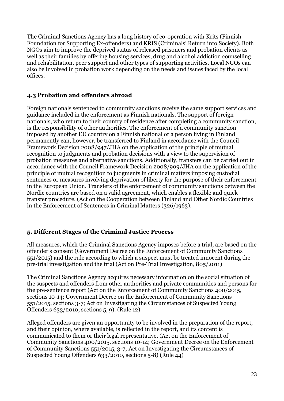The Criminal Sanctions Agency has a long history of co-operation with Krits (Finnish Foundation for Supporting Ex-offenders) and KRIS (Criminals' Return into Society). Both NGOs aim to improve the deprived status of released prisoners and probation clients as well as their families by offering housing services, drug and alcohol addiction counselling and rehabilitation, peer support and other types of supporting activities. Local NGOs can also be involved in probation work depending on the needs and issues faced by the local offices.

#### **4.3 Probation and offenders abroad**

Foreign nationals sentenced to community sanctions receive the same support services and guidance included in the enforcement as Finnish nationals. The support of foreign nationals, who return to their country of residence after completing a community sanction, is the responsibility of other authorities. The enforcement of a community sanction imposed by another EU country on a Finnish national or a person living in Finland permanently can, however, be transferred to Finland in accordance with the Council Framework Decision 2008/947/JHA on the application of the principle of mutual recognition to judgments and probation decisions with a view to the supervision of probation measures and alternative sanctions. Additionally, transfers can be carried out in accordance with the Council Framework Decision 2008/909/JHA on the application of the principle of mutual recognition to judgments in criminal matters imposing custodial sentences or measures involving deprivation of liberty for the purpose of their enforcement in the European Union. Transfers of the enforcement of community sanctions between the Nordic countries are based on a valid agreement, which enables a flexible and quick transfer procedure. (Act on the Cooperation between Finland and Other Nordic Countries in the Enforcement of Sentences in Criminal Matters (326/1963).

# **5. Different Stages of the Criminal Justice Process**

All measures, which the Criminal Sanctions Agency imposes before a trial, are based on the offender's consent (Government Decree on the Enforcement of Community Sanctions 551/2015) and the rule according to which a suspect must be treated innocent during the pre-trial investigation and the trial (Act on Pre-Trial Investigation, 805/2011)

The Criminal Sanctions Agency acquires necessary information on the social situation of the suspects and offenders from other authorities and private communities and persons for the pre-sentence report (Act on the Enforcement of Community Sanctions 400/2015, sections 10-14; Government Decree on the Enforcement of Community Sanctions 551/2015, sections 3-7; Act on Investigating the Circumstances of Suspected Young Offenders 633/2010, sections 5, 9). (Rule 12)

Alleged offenders are given an opportunity to be involved in the preparation of the report, and their opinion, where available, is reflected in the report, and its content is communicated to them or their legal representative. (Act on the Enforcement of Community Sanctions 400/2015, sections 10-14; Government Decree on the Enforcement of Community Sanctions 551/2015, 3-7; Act on Investigating the Circumstances of Suspected Young Offenders 633/2010, sections 5-8) (Rule 44)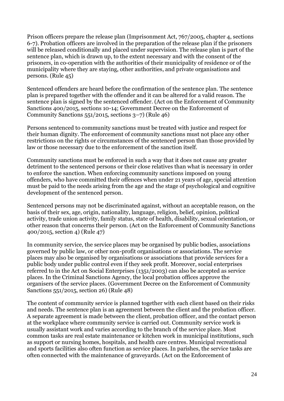Prison officers prepare the release plan (Imprisonment Act, 767/2005, chapter 4, sections 6-7). Probation officers are involved in the preparation of the release plan if the prisoners will be released conditionally and placed under supervision. The release plan is part of the sentence plan, which is drawn up, to the extent necessary and with the consent of the prisoners, in co-operation with the authorities of their municipality of residence or of the municipality where they are staying, other authorities, and private organisations and persons. (Rule 45)

Sentenced offenders are heard before the confirmation of the sentence plan. The sentence plan is prepared together with the offender and it can be altered for a valid reason. The sentence plan is signed by the sentenced offender. (Act on the Enforcement of Community Sanctions 400/2015, sections 10-14; Government Decree on the Enforcement of Community Sanctions 551/2015, sections 3–7) (Rule 46)

Persons sentenced to community sanctions must be treated with justice and respect for their human dignity. The enforcement of community sanctions must not place any other restrictions on the rights or circumstances of the sentenced person than those provided by law or those necessary due to the enforcement of the sanction itself.

Community sanctions must be enforced in such a way that it does not cause any greater detriment to the sentenced persons or their close relatives than what is necessary in order to enforce the sanction. When enforcing community sanctions imposed on young offenders, who have committed their offences when under 21 years of age, special attention must be paid to the needs arising from the age and the stage of psychological and cognitive development of the sentenced person.

Sentenced persons may not be discriminated against, without an acceptable reason, on the basis of their sex, age, origin, nationality, language, religion, belief, opinion, political activity, trade union activity, family status, state of health, disability, sexual orientation, or other reason that concerns their person. (Act on the Enforcement of Community Sanctions 400/2015, section 4) (Rule 47)

In community service, the service places may be organised by public bodies, associations governed by public law, or other non-profit organisations or associations. The service places may also be organised by organisations or associations that provide services for a public body under public control even if they seek profit. Moreover, social enterprises referred to in the Act on Social Enterprises (1351/2003) can also be accepted as service places. In the Criminal Sanctions Agency, the local probation offices approve the organisers of the service places. (Government Decree on the Enforcement of Community Sanctions 551/2015, section 26) (Rule 48)

The content of community service is planned together with each client based on their risks and needs. The sentence plan is an agreement between the client and the probation officer. A separate agreement is made between the client, probation officer, and the contact person at the workplace where community service is carried out. Community service work is usually assistant work and varies according to the branch of the service place. Most common tasks are real estate maintenance or kitchen work in municipal institutions, such as support or nursing homes, hospitals, and health care centres. Municipal recreational and sports facilities also often function as service places. In parishes, the service tasks are often connected with the maintenance of graveyards. (Act on the Enforcement of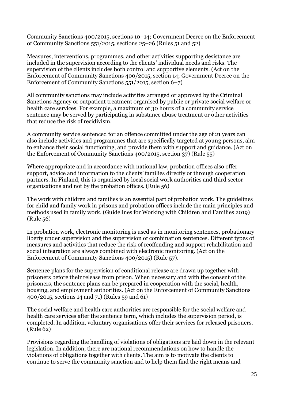Community Sanctions 400/2015, sections 10–14; Government Decree on the Enforcement of Community Sanctions 551/2015, sections 25–26 (Rules 51 and 52)

Measures, interventions, programmes, and other activities supporting desistance are included in the supervision according to the clients' individual needs and risks. The supervision of the clients includes both control and supportive elements. (Act on the Enforcement of Community Sanctions 400/2015, section 14; Government Decree on the Enforcement of Community Sanctions 551/2015, section 6–7)

All community sanctions may include activities arranged or approved by the Criminal Sanctions Agency or outpatient treatment organised by public or private social welfare or health care services. For example, a maximum of 30 hours of a community service sentence may be served by participating in substance abuse treatment or other activities that reduce the risk of recidivism.

A community service sentenced for an offence committed under the age of 21 years can also include activities and programmes that are specifically targeted at young persons, aim to enhance their social functioning, and provide them with support and guidance. (Act on the Enforcement of Community Sanctions 400/2015, section 37) (Rule 55)

Where appropriate and in accordance with national law, probation offices also offer support, advice and information to the clients' families directly or through cooperation partners*.* In Finland, this is organised by local social work authorities and third sector organisations and not by the probation offices. (Rule 56)

The work with children and families is an essential part of probation work. The guidelines for child and family work in prisons and probation offices include the main principles and methods used in family work. (Guidelines for Working with Children and Families 2019) (Rule 56)

In probation work, electronic monitoring is used as in monitoring sentences, probationary liberty under supervision and the supervision of combination sentences. Different types of measures and activities that reduce the risk of reoffending and support rehabilitation and social integration are always combined with electronic monitoring. (Act on the Enforcement of Community Sanctions 400/2015) (Rule 57).

Sentence plans for the supervision of conditional release are drawn up together with prisoners before their release from prison. When necessary and with the consent of the prisoners, the sentence plans can be prepared in cooperation with the social, health, housing, and employment authorities. (Act on the Enforcement of Community Sanctions 400/2015, sections 14 and 71) (Rules 59 and 61)

The social welfare and health care authorities are responsible for the social welfare and health care services after the sentence term, which includes the supervision period, is completed. In addition, voluntary organisations offer their services for released prisoners. (Rule 62)

Provisions regarding the handling of violations of obligations are laid down in the relevant legislation. In addition, there are national recommendations on how to handle the violations of obligations together with clients. The aim is to motivate the clients to continue to serve the community sanction and to help them find the right means and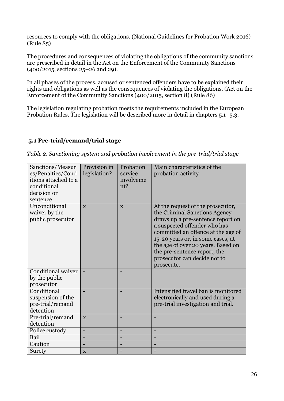resources to comply with the obligations. (National Guidelines for Probation Work 2016) (Rule 85)

The procedures and consequences of violating the obligations of the community sanctions are prescribed in detail in the Act on the Enforcement of the Community Sanctions (400/2015, sections 25–26 and 29).

In all phases of the process, accused or sentenced offenders have to be explained their rights and obligations as well as the consequences of violating the obligations. (Act on the Enforcement of the Community Sanctions (400/2015, section 8) (Rule 86)

The legislation regulating probation meets the requirements included in the European Probation Rules. The legislation will be described more in detail in chapters 5.1–5.3.

# **5.1 Pre-trial/remand/trial stage**

*Table 2. Sanctioning system and probation involvement in the pre-trial/trial stage*

| Sanctions/Measur<br>es/Penalties/Cond<br>itions attached to a<br>conditional<br>decision or<br>sentence | Provision in<br>legislation? | Probation<br>service<br>involveme<br>nt? | Main characteristics of the<br>probation activity                                                                                                                                                                                                                                                                                      |
|---------------------------------------------------------------------------------------------------------|------------------------------|------------------------------------------|----------------------------------------------------------------------------------------------------------------------------------------------------------------------------------------------------------------------------------------------------------------------------------------------------------------------------------------|
| Unconditional<br>waiver by the<br>public prosecutor                                                     | $\mathbf{x}$                 | $\mathbf{X}$                             | At the request of the prosecutor,<br>the Criminal Sanctions Agency<br>draws up a pre-sentence report on<br>a suspected offender who has<br>committed an offence at the age of<br>15-20 years or, in some cases, at<br>the age of over 20 years. Based on<br>the pre-sentence report, the<br>prosecutor can decide not to<br>prosecute. |
| Conditional waiver<br>by the public<br>prosecutor                                                       |                              |                                          |                                                                                                                                                                                                                                                                                                                                        |
| Conditional<br>suspension of the<br>pre-trial/remand<br>detention                                       |                              |                                          | Intensified travel ban is monitored<br>electronically and used during a<br>pre-trial investigation and trial.                                                                                                                                                                                                                          |
| Pre-trial/remand<br>detention                                                                           | $\mathbf{X}$                 |                                          |                                                                                                                                                                                                                                                                                                                                        |
| Police custody                                                                                          | $\overline{\phantom{0}}$     | ۰                                        | -                                                                                                                                                                                                                                                                                                                                      |
| Bail                                                                                                    |                              |                                          |                                                                                                                                                                                                                                                                                                                                        |
| Caution                                                                                                 |                              |                                          |                                                                                                                                                                                                                                                                                                                                        |
| Surety                                                                                                  | $\mathbf X$                  |                                          |                                                                                                                                                                                                                                                                                                                                        |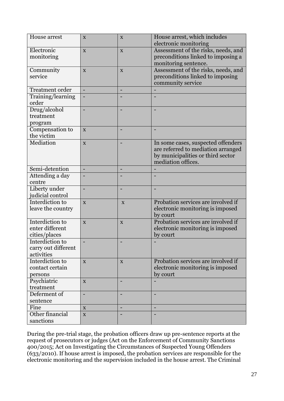| House arrest           | X                        | X            | House arrest, which includes        |
|------------------------|--------------------------|--------------|-------------------------------------|
|                        |                          |              | electronic monitoring               |
| Electronic             | $\mathbf{X}$             | X            | Assessment of the risks, needs, and |
| monitoring             |                          |              | preconditions linked to imposing a  |
|                        |                          |              | monitoring sentence.                |
| Community              | $\mathbf{X}$             | X            | Assessment of the risks, needs, and |
| service                |                          |              | preconditions linked to imposing    |
|                        |                          |              | community service                   |
| <b>Treatment order</b> |                          |              |                                     |
| Training/learning      |                          |              |                                     |
| order                  |                          |              |                                     |
| Drug/alcohol           |                          |              |                                     |
| treatment              |                          |              |                                     |
| program                |                          |              |                                     |
| Compensation to        | $\mathbf{X}$             |              |                                     |
| the victim             |                          |              |                                     |
| Mediation              | $\mathbf{X}$             |              | In some cases, suspected offenders  |
|                        |                          |              | are referred to mediation arranged  |
|                        |                          |              | by municipalities or third sector   |
|                        |                          |              | mediation offices.                  |
| Semi-detention         | $\overline{\phantom{a}}$ |              |                                     |
| Attending a day        |                          |              |                                     |
| centre                 |                          |              |                                     |
| Liberty under          |                          |              |                                     |
| judicial control       |                          |              |                                     |
| Interdiction to        | $\mathbf{X}$             | X            | Probation services are involved if  |
| leave the country      |                          |              | electronic monitoring is imposed    |
|                        |                          |              | by court                            |
| Interdiction to        | $\mathbf{X}$             | X            | Probation services are involved if  |
| enter different        |                          |              | electronic monitoring is imposed    |
| cities/places          |                          |              | by court                            |
| Interdiction to        |                          |              |                                     |
| carry out different    |                          |              |                                     |
| activities             |                          |              |                                     |
| Interdiction to        | $\mathbf X$              | $\mathbf{X}$ | Probation services are involved if  |
| contact certain        |                          |              | electronic monitoring is imposed    |
| persons                |                          |              | by court                            |
| Psychiatric            | $\mathbf{X}$             |              |                                     |
| treatment              |                          |              |                                     |
| Deferment of           | ÷                        | ۰            | $\overline{\phantom{0}}$            |
| sentence               |                          |              |                                     |
| Fine                   | X                        |              |                                     |
| Other financial        | $\mathbf X$              |              |                                     |
| sanctions              |                          |              |                                     |

During the pre-trial stage, the probation officers draw up pre-sentence reports at the request of prosecutors or judges (Act on the Enforcement of Community Sanctions 400/2015; Act on Investigating the Circumstances of Suspected Young Offenders (633/2010). If house arrest is imposed, the probation services are responsible for the electronic monitoring and the supervision included in the house arrest. The Criminal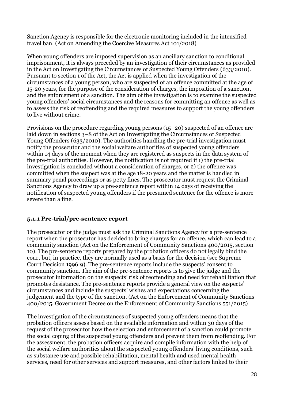Sanction Agency is responsible for the electronic monitoring included in the intensified travel ban. (Act on Amending the Coercive Measures Act 101/2018)

When young offenders are imposed supervision as an ancillary sanction to conditional imprisonment, it is always preceded by an investigation of their circumstances as provided in the Act on Investigating the Circumstances of Suspected Young Offenders (633/2010). Pursuant to section 1 of the Act, the Act is applied when the investigation of the circumstances of a young person, who are suspected of an offence committed at the age of 15-20 years, for the purpose of the consideration of charges, the imposition of a sanction, and the enforcement of a sanction. The aim of the investigation is to examine the suspected young offenders' social circumstances and the reasons for committing an offence as well as to assess the risk of reoffending and the required measures to support the young offenders to live without crime.

Provisions on the procedure regarding young persons (15–20) suspected of an offence are laid down in sections 3–8 of the Act on Investigating the Circumstances of Suspected Young Offenders (633/2010). The authorities handling the pre-trial investigation must notify the prosecutor and the social welfare authorities of suspected young offenders within 14 days of the moment when they are registered as suspects in the data system of the pre-trial authorities. However, the notification is not required if 1) the pre-trial investigation is concluded without a consideration of charges, or 2) the offence was committed when the suspect was at the age 18-20 years and the matter is handled in summary penal proceedings or as petty fines. The prosecutor must request the Criminal Sanctions Agency to draw up a pre-sentence report within 14 days of receiving the notification of suspected young offenders if the presumed sentence for the offence is more severe than a fine.

# **5.1.1 Pre-trial/pre-sentence report**

The prosecutor or the judge must ask the Criminal Sanctions Agency for a pre-sentence report when the prosecutor has decided to bring charges for an offence, which can lead to a community sanction (Act on the Enforcement of Community Sanctions 400/2015, section 10). The pre-sentence reports prepared by the probation officers do not legally bind the court but, in practice, they are normally used as a basis for the decision (see Supreme Court Decision 1996:9). The pre-sentence reports include the suspects' consent to community sanction. The aim of the pre-sentence reports is to give the judge and the prosecutor information on the suspects' risk of reoffending and need for rehabilitation that promotes desistance. The pre-sentence reports provide a general view on the suspects' circumstances and include the suspects' wishes and expectations concerning the judgement and the type of the sanction. (Act on the Enforcement of Community Sanctions 400/2015, Government Decree on the Enforcement of Community Sanctions 551/2015)

The investigation of the circumstances of suspected young offenders means that the probation officers assess based on the available information and within 30 days of the request of the prosecutor how the selection and enforcement of a sanction could promote the social coping of the suspected young offenders and prevent them from reoffending. For the assessment, the probation officers acquire and compile information with the help of the social welfare authorities about the suspected young offenders' living conditions, such as substance use and possible rehabilitation, mental health and used mental health services, need for other services and support measures, and other factors linked to their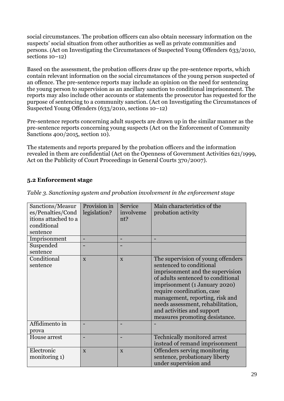social circumstances. The probation officers can also obtain necessary information on the suspects' social situation from other authorities as well as private communities and persons. (Act on Investigating the Circumstances of Suspected Young Offenders 633/2010, sections  $10-12$ )

Based on the assessment, the probation officers draw up the pre-sentence reports, which contain relevant information on the social circumstances of the young person suspected of an offence. The pre-sentence reports may include an opinion on the need for sentencing the young person to supervision as an ancillary sanction to conditional imprisonment. The reports may also include other accounts or statements the prosecutor has requested for the purpose of sentencing to a community sanction. (Act on Investigating the Circumstances of Suspected Young Offenders (633/2010, sections 10–12)

Pre-sentence reports concerning adult suspects are drawn up in the similar manner as the pre-sentence reports concerning young suspects (Act on the Enforcement of Community Sanctions 400/2015, section 10).

The statements and reports prepared by the probation officers and the information revealed in them are confidential (Act on the Openness of Government Activities 621/1999, Act on the Publicity of Court Proceedings in General Courts 370/2007).

#### **5.2 Enforcement stage**

| Sanctions/Measur<br>es/Penalties/Cond<br>itions attached to a<br>conditional<br>sentence | Provision in<br>legislation? | Service<br>involveme<br>nt? | Main characteristics of the<br>probation activity                                                                                                                                                                                                                                                                                               |
|------------------------------------------------------------------------------------------|------------------------------|-----------------------------|-------------------------------------------------------------------------------------------------------------------------------------------------------------------------------------------------------------------------------------------------------------------------------------------------------------------------------------------------|
| Imprisonment                                                                             |                              | -                           |                                                                                                                                                                                                                                                                                                                                                 |
| Suspended                                                                                |                              |                             |                                                                                                                                                                                                                                                                                                                                                 |
| sentence                                                                                 |                              |                             |                                                                                                                                                                                                                                                                                                                                                 |
| Conditional<br>sentence                                                                  | $\mathbf{X}$                 | $\mathbf{X}$                | The supervision of young offenders<br>sentenced to conditional<br>imprisonment and the supervision<br>of adults sentenced to conditional<br>imprisonment (1 January 2020)<br>require coordination, case<br>management, reporting, risk and<br>needs assessment, rehabilitation,<br>and activities and support<br>measures promoting desistance. |
| Affidimento in<br>prova                                                                  |                              |                             |                                                                                                                                                                                                                                                                                                                                                 |
| House arrest                                                                             |                              |                             | Technically monitored arrest<br>instead of remand imprisonment                                                                                                                                                                                                                                                                                  |
| Electronic<br>monitoring 1)                                                              | $\mathbf{X}$                 | X                           | Offenders serving monitoring<br>sentence, probationary liberty<br>under supervision and                                                                                                                                                                                                                                                         |

*Table 3. Sanctioning system and probation involvement in the enforcement stage*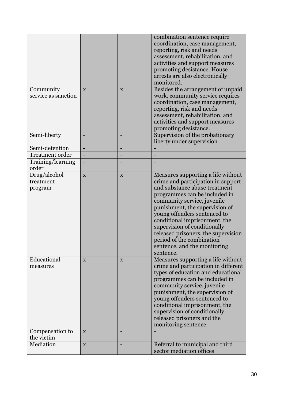|                                      |                |   | combination sentence require<br>coordination, case management,<br>reporting, risk and needs<br>assessment, rehabilitation, and<br>activities and support measures                                                                                                                                                                                                                                                             |
|--------------------------------------|----------------|---|-------------------------------------------------------------------------------------------------------------------------------------------------------------------------------------------------------------------------------------------------------------------------------------------------------------------------------------------------------------------------------------------------------------------------------|
|                                      |                |   | promoting desistance. House<br>arrests are also electronically<br>monitored.                                                                                                                                                                                                                                                                                                                                                  |
| Community<br>service as sanction     | $\mathbf{X}$   | X | Besides the arrangement of unpaid<br>work, community service requires<br>coordination, case management,<br>reporting, risk and needs<br>assessment, rehabilitation, and<br>activities and support measures<br>promoting desistance.                                                                                                                                                                                           |
| Semi-liberty                         |                |   | Supervision of the probationary<br>liberty under supervision                                                                                                                                                                                                                                                                                                                                                                  |
| Semi-detention                       | $\blacksquare$ | - |                                                                                                                                                                                                                                                                                                                                                                                                                               |
| <b>Treatment</b> order               |                |   |                                                                                                                                                                                                                                                                                                                                                                                                                               |
| Training/learning<br>order           |                |   |                                                                                                                                                                                                                                                                                                                                                                                                                               |
| Drug/alcohol<br>treatment<br>program | $\mathbf X$    | X | Measures supporting a life without<br>crime and participation in support<br>and substance abuse treatment<br>programmes can be included in<br>community service, juvenile<br>punishment, the supervision of<br>young offenders sentenced to<br>conditional imprisonment, the<br>supervision of conditionally<br>released prisoners, the supervision<br>period of the combination<br>sentence, and the monitoring<br>sentence. |
| Educational<br>measures              | X              | X | Measures supporting a life without<br>crime and participation in different<br>types of education and educational<br>programmes can be included in<br>community service, juvenile<br>punishment, the supervision of<br>young offenders sentenced to<br>conditional imprisonment, the<br>supervision of conditionally<br>released prisoners and the<br>monitoring sentence.                                                     |
| Compensation to<br>the victim        | $\mathbf{X}$   |   |                                                                                                                                                                                                                                                                                                                                                                                                                               |
| Mediation                            |                |   |                                                                                                                                                                                                                                                                                                                                                                                                                               |
|                                      | X              |   | Referral to municipal and third<br>sector mediation offices                                                                                                                                                                                                                                                                                                                                                                   |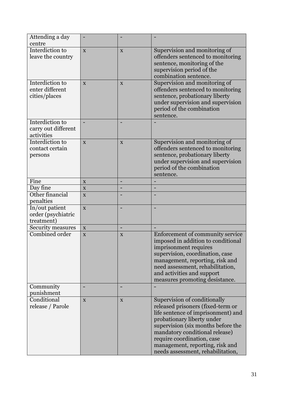| Attending a day<br>centre                            |              |             |                                                                                                                                                                                                                                                                                                                     |
|------------------------------------------------------|--------------|-------------|---------------------------------------------------------------------------------------------------------------------------------------------------------------------------------------------------------------------------------------------------------------------------------------------------------------------|
| Interdiction to<br>leave the country                 | $\mathbf{X}$ | X           | Supervision and monitoring of<br>offenders sentenced to monitoring<br>sentence, monitoring of the<br>supervision period of the<br>combination sentence.                                                                                                                                                             |
| Interdiction to<br>enter different<br>cities/places  | X            | X           | Supervision and monitoring of<br>offenders sentenced to monitoring<br>sentence, probationary liberty<br>under supervision and supervision<br>period of the combination<br>sentence.                                                                                                                                 |
| Interdiction to<br>carry out different<br>activities |              |             |                                                                                                                                                                                                                                                                                                                     |
| Interdiction to<br>contact certain<br>persons        | $\mathbf{X}$ | X           | Supervision and monitoring of<br>offenders sentenced to monitoring<br>sentence, probationary liberty<br>under supervision and supervision<br>period of the combination<br>sentence.                                                                                                                                 |
| Fine                                                 | X            |             |                                                                                                                                                                                                                                                                                                                     |
| Day fine                                             | X            |             |                                                                                                                                                                                                                                                                                                                     |
| Other financial<br>penalties                         | X            |             |                                                                                                                                                                                                                                                                                                                     |
| In/out patient<br>order (psychiatric<br>treatment)   | $\mathbf{X}$ |             |                                                                                                                                                                                                                                                                                                                     |
| Security measures                                    | X            |             |                                                                                                                                                                                                                                                                                                                     |
| Combined order                                       | X            | $\mathbf X$ | Enforcement of community service<br>imposed in addition to conditional<br>imprisonment requires<br>supervision, coordination, case<br>management, reporting, risk and<br>need assessment, rehabilitation,<br>and activities and support<br>measures promoting desistance.                                           |
| Community<br>punishment                              |              |             |                                                                                                                                                                                                                                                                                                                     |
| Conditional<br>release / Parole                      | $\mathbf{X}$ | X           | Supervision of conditionally<br>released prisoners (fixed-term or<br>life sentence of imprisonment) and<br>probationary liberty under<br>supervision (six months before the<br>mandatory conditional release)<br>require coordination, case<br>management, reporting, risk and<br>needs assessment, rehabilitation, |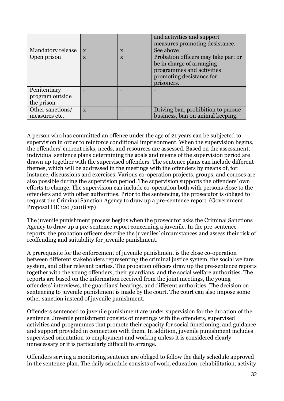|                   |              |              | and activities and support          |
|-------------------|--------------|--------------|-------------------------------------|
|                   |              |              | measures promoting desistance.      |
| Mandatory release | $\mathbf{X}$ | $\mathbf X$  | See above                           |
| Open prison       | X            | $\mathbf{X}$ | Probation officers may take part or |
|                   |              |              | be in charge of arranging           |
|                   |              |              | programmes and activities           |
|                   |              |              | promoting desistance for            |
|                   |              |              | prisoners.                          |
| Penitentiary      |              |              |                                     |
| program outside   |              |              |                                     |
| the prison        |              |              |                                     |
| Other sanctions/  | $\mathbf{X}$ |              | Driving ban, prohibition to pursue  |
| measures etc.     |              |              | business, ban on animal keeping.    |

A person who has committed an offence under the age of 21 years can be subjected to supervision in order to reinforce conditional imprisonment. When the supervision begins, the offenders' current risks, needs, and resources are assessed. Based on the assessment, individual sentence plans determining the goals and means of the supervision period are drawn up together with the supervised offenders. The sentence plans can include different themes, which will be addressed in the meetings with the offenders by means of, for instance, discussions and exercises. Various co-operation projects, groups, and courses are also possible during the supervision period. The supervision supports the offenders' own efforts to change. The supervision can include co-operation both with persons close to the offenders and with other authorities. Prior to the sentencing, the prosecutor is obliged to request the Criminal Sanction Agency to draw up a pre-sentence report. (Government Proposal HE 120 /2018 vp)

The juvenile punishment process begins when the prosecutor asks the Criminal Sanctions Agency to draw up a pre-sentence report concerning a juvenile. In the pre-sentence reports, the probation officers describe the juveniles' circumstances and assess their risk of reoffending and suitability for juvenile punishment.

A prerequisite for the enforcement of juvenile punishment is the close co-operation between different stakeholders representing the criminal justice system, the social welfare system, and other relevant parties. The probation officers draw up the pre-sentence reports together with the young offenders, their guardians, and the social welfare authorities. The reports are based on the information received from the joint meetings, the young offenders' interviews, the guardians' hearings, and different authorities. The decision on sentencing to juvenile punishment is made by the court. The court can also impose some other sanction instead of juvenile punishment.

Offenders sentenced to juvenile punishment are under supervision for the duration of the sentence. Juvenile punishment consists of meetings with the offenders, supervised activities and programmes that promote their capacity for social functioning, and guidance and support provided in connection with them. In addition, juvenile punishment includes supervised orientation to employment and working unless it is considered clearly unnecessary or it is particularly difficult to arrange.

Offenders serving a monitoring sentence are obliged to follow the daily schedule approved in the sentence plan. The daily schedule consists of work, education, rehabilitation, activity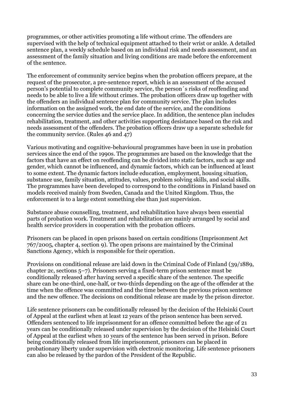programmes, or other activities promoting a life without crime. The offenders are supervised with the help of technical equipment attached to their wrist or ankle. A detailed sentence plan, a weekly schedule based on an individual risk and needs assessment, and an assessment of the family situation and living conditions are made before the enforcement of the sentence.

The enforcement of community service begins when the probation officers prepare, at the request of the prosecutor, a pre-sentence report, which is an assessment of the accused person's potential to complete community service, the person´s risks of reoffending and needs to be able to live a life without crimes. The probation officers draw up together with the offenders an individual sentence plan for community service. The plan includes information on the assigned work, the end date of the service, and the conditions concerning the service duties and the service place. In addition, the sentence plan includes rehabilitation, treatment, and other activities supporting desistance based on the risk and needs assessment of the offenders. The probation officers draw up a separate schedule for the community service. (Rules 46 and 47)

Various motivating and cognitive-behavioural programmes have been in use in probation services since the end of the 1990s. The programmes are based on the knowledge that the factors that have an effect on reoffending can be divided into static factors, such as age and gender, which cannot be influenced, and dynamic factors, which can be influenced at least to some extent. The dynamic factors include education, employment, housing situation, substance use, family situation, attitudes, values, problem solving skills, and social skills. The programmes have been developed to correspond to the conditions in Finland based on models received mainly from Sweden, Canada and the United Kingdom. Thus, the enforcement is to a large extent something else than just supervision.

Substance abuse counselling, treatment, and rehabilitation have always been essential parts of probation work. Treatment and rehabilitation are mainly arranged by social and health service providers in cooperation with the probation officers.

Prisoners can be placed in open prisons based on certain conditions (Imprisonment Act 767/2005, chapter 4, section 9). The open prisons are maintained by the Criminal Sanctions Agency, which is responsible for their operation.

Provisions on conditional release are laid down in the Criminal Code of Finland (39/1889, chapter 2c, sections 5–7). Prisoners serving a fixed-term prison sentence must be conditionally released after having served a specific share of the sentence. The specific share can be one-third, one-half, or two-thirds depending on the age of the offender at the time when the offence was committed and the time between the previous prison sentence and the new offence. The decisions on conditional release are made by the prison director.

Life sentence prisoners can be conditionally released by the decision of the Helsinki Court of Appeal at the earliest when at least 12 years of the prison sentence has been served. Offenders sentenced to life imprisonment for an offence committed before the age of 21 years can be conditionally released under supervision by the decision of the Helsinki Court of Appeal at the earliest when 10 years of the sentence has been served in prison. Before being conditionally released from life imprisonment, prisoners can be placed in probationary liberty under supervision with electronic monitoring. Life sentence prisoners can also be released by the pardon of the President of the Republic.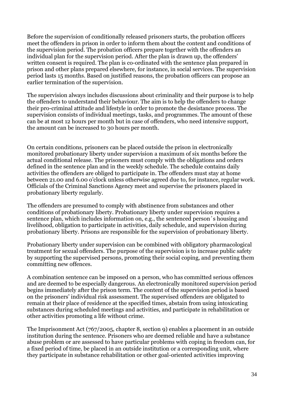Before the supervision of conditionally released prisoners starts, the probation officers meet the offenders in prison in order to inform them about the content and conditions of the supervision period. The probation officers prepare together with the offenders an individual plan for the supervision period. After the plan is drawn up, the offenders' written consent is required. The plan is co-ordinated with the sentence plan prepared in prison and other plans prepared elsewhere, for instance, in social services. The supervision period lasts 15 months. Based on justified reasons, the probation officers can propose an earlier termination of the supervision.

The supervision always includes discussions about criminality and their purpose is to help the offenders to understand their behaviour. The aim is to help the offenders to change their pro-criminal attitude and lifestyle in order to promote the desistance process. The supervision consists of individual meetings, tasks, and programmes. The amount of these can be at most 12 hours per month but in case of offenders, who need intensive support, the amount can be increased to 30 hours per month.

On certain conditions, prisoners can be placed outside the prison in electronically monitored probationary liberty under supervision a maximum of six months before the actual conditional release. The prisoners must comply with the obligations and orders defined in the sentence plan and in the weekly schedule. The schedule contains daily activities the offenders are obliged to participate in. The offenders must stay at home between 21.00 and 6.00 o'clock unless otherwise agreed due to, for instance, regular work. Officials of the Criminal Sanctions Agency meet and supervise the prisoners placed in probationary liberty regularly.

The offenders are presumed to comply with abstinence from substances and other conditions of probationary liberty. Probationary liberty under supervision requires a sentence plan, which includes information on, e.g., the sentenced person´s housing and livelihood, obligation to participate in activities, daily schedule, and supervision during probationary liberty. Prisons are responsible for the supervision of probationary liberty.

Probationary liberty under supervision can be combined with obligatory pharmacological treatment for sexual offenders. The purpose of the supervision is to increase public safety by supporting the supervised persons, promoting their social coping, and preventing them committing new offences.

A combination sentence can be imposed on a person, who has committed serious offences and are deemed to be especially dangerous. An electronically monitored supervision period begins immediately after the prison term. The content of the supervision period is based on the prisoners' individual risk assessment. The supervised offenders are obligated to remain at their place of residence at the specified times, abstain from using intoxicating substances during scheduled meetings and activities, and participate in rehabilitation or other activities promoting a life without crime.

The Imprisonment Act (767/2005, chapter 8, section 9) enables a placement in an outside institution during the sentence. Prisoners who are deemed reliable and have a substance abuse problem or are assessed to have particular problems with coping in freedom can, for a fixed period of time, be placed in an outside institution or a corresponding unit, where they participate in substance rehabilitation or other goal-oriented activities improving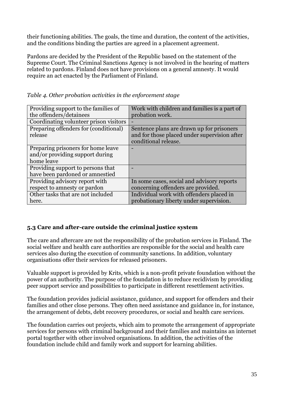their functioning abilities. The goals, the time and duration, the content of the activities, and the conditions binding the parties are agreed in a placement agreement.

Pardons are decided by the President of the Republic based on the statement of the Supreme Court. The Criminal Sanctions Agency is not involved in the hearing of matters related to pardons. Finland does not have provisions on a general amnesty. It would require an act enacted by the Parliament of Finland.

| Providing support to the families of   | Work with children and families is a part of |
|----------------------------------------|----------------------------------------------|
| the offenders/detainees                | probation work.                              |
| Coordinating volunteer prison visitors |                                              |
| Preparing offenders for (conditional)  | Sentence plans are drawn up for prisoners    |
| release                                | and for those placed under supervision after |
|                                        | conditional release.                         |
| Preparing prisoners for home leave     |                                              |
| and/or providing support during        |                                              |
| home leave                             |                                              |
| Providing support to persons that      |                                              |
| have been pardoned or amnestied        |                                              |
| Providing advisory report with         | In some cases, social and advisory reports   |
| respect to amnesty or pardon           | concerning offenders are provided.           |
| Other tasks that are not included      | Individual work with offenders placed in     |
| here.                                  | probationary liberty under supervision.      |

*Table 4. Other probation activities in the enforcement stage*

# **5.3 Care and after-care outside the criminal justice system**

The care and aftercare are not the responsibility of the probation services in Finland. The social welfare and health care authorities are responsible for the social and health care services also during the execution of community sanctions. In addition, voluntary organisations offer their services for released prisoners.

Valuable support is provided by Krits, which is a non-profit private foundation without the power of an authority. The purpose of the foundation is to reduce recidivism by providing peer support service and possibilities to participate in different resettlement activities.

The foundation provides judicial assistance, guidance, and support for offenders and their families and other close persons. They often need assistance and guidance in, for instance, the arrangement of debts, debt recovery procedures, or social and health care services.

The foundation carries out projects, which aim to promote the arrangement of appropriate services for persons with criminal background and their families and maintains an internet portal together with other involved organisations. In addition, the activities of the foundation include child and family work and support for learning abilities.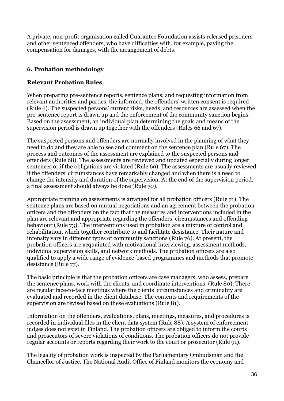A private, non-profit organisation called Guarantee Foundation assists released prisoners and other sentenced offenders, who have difficulties with, for example, paying the compensation for damages, with the arrangement of debts.

# **6. Probation methodology**

#### **Relevant Probation Rules**

When preparing pre-sentence reports, sentence plans, and requesting information from relevant authorities and parties, the informed, the offenders' written consent is required (Rule 6). The suspected persons' current risks, needs, and resources are assessed when the pre-sentence report is drawn up and the enforcement of the community sanction begins. Based on the assessment, an individual plan determining the goals and means of the supervision period is drawn up together with the offenders (Rules 66 and 67).

The suspected persons and offenders are normally involved in the planning of what they need to do and they are able to see and comment on the sentence plan (Rule 67). The process and outcomes of the assessment are explained to the suspected persons and offenders (Rule 68). The assessments are reviewed and updated especially during longer sentences or if the obligations are violated (Rule 69). The assessments are usually reviewed if the offenders' circumstances have remarkably changed and when there is a need to change the intensity and duration of the supervision. At the end of the supervision period, a final assessment should always be done (Rule 70).

Appropriate training on assessments is arranged for all probation officers (Rule 71). The sentence plans are based on mutual negotiations and an agreement between the probation officers and the offenders on the fact that the measures and interventions included in the plan are relevant and appropriate regarding the offenders' circumstances and offending behaviour (Rule 73). The interventions used in probation are a mixture of control and rehabilitation, which together contribute to and facilitate desistance. Their nature and intensity vary in different types of community sanctions (Rule 76). At present, the probation officers are acquainted with motivational interviewing, assessment methods, individual supervision skills, and network methods. The probation officers are also qualified to apply a wide range of evidence-based programmes and methods that promote desistance (Rule 77).

The basic principle is that the probation officers are case managers, who assess, prepare the sentence plans, work with the clients, and coordinate interventions. (Rule 80). There are regular face-to-face meetings where the clients' circumstances and criminality are evaluated and recorded in the client database. The contents and requirements of the supervision are revised based on these evaluations (Rule 81).

Information on the offenders, evaluations, plans, meetings, measures, and procedures is recorded in individual files in the client data system (Rule 88). A system of enforcement judges does not exist in Finland. The probation officers are obliged to inform the courts and prosecutors of severe violations of conditions. The probation officers do not provide regular accounts or reports regarding their work to the court or prosecutor (Rule 91).

The legality of probation work is inspected by the Parliamentary Ombudsman and the Chancellor of Justice. The National Audit Office of Finland monitors the economy and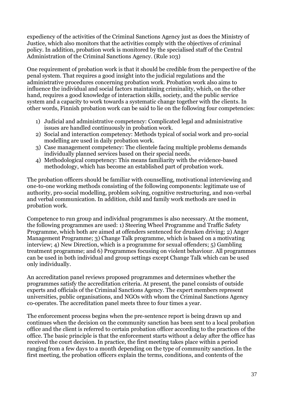expediency of the activities of the Criminal Sanctions Agency just as does the Ministry of Justice, which also monitors that the activities comply with the objectives of criminal policy. In addition, probation work is monitored by the specialised staff of the Central Administration of the Criminal Sanctions Agency. (Rule 103)

One requirement of probation work is that it should be credible from the perspective of the penal system. That requires a good insight into the judicial regulations and the administrative procedures concerning probation work. Probation work also aims to influence the individual and social factors maintaining criminality, which, on the other hand, requires a good knowledge of interaction skills, society, and the public service system and a capacity to work towards a systematic change together with the clients. In other words, Finnish probation work can be said to lie on the following four competencies:

- 1) Judicial and administrative competency: Complicated legal and administrative issues are handled continuously in probation work.
- 2) Social and interaction competency: Methods typical of social work and pro-social modelling are used in daily probation work.
- 3) Case management competency: The clientele facing multiple problems demands individually planned services based on their special needs.
- 4) Methodological competency: This means familiarity with the evidence-based methodology, which has become an established part of probation work.

The probation officers should be familiar with counselling, motivational interviewing and one-to-one working methods consisting of the following components: legitimate use of authority, pro-social modelling, problem solving, cognitive restructuring, and non-verbal and verbal communication. In addition, child and family work methods are used in probation work.

Competence to run group and individual programmes is also necessary. At the moment, the following programmes are used: 1) Steering Wheel Programme and Traffic Safety Programme, which both are aimed at offenders sentenced for drunken driving; 2) Anger Management Programme; 3) Change Talk programme, which is based on a motivating interview; 4) New Direction, which is a programme for sexual offenders; 5) Gambling treatment programme; and 6) Programmes focusing on violent behaviour. All programmes can be used in both individual and group settings except Change Talk which can be used only individually.

An accreditation panel reviews proposed programmes and determines whether the programmes satisfy the accreditation criteria. At present, the panel consists of outside experts and officials of the Criminal Sanctions Agency. The expert members represent universities, public organisations, and NGOs with whom the Criminal Sanctions Agency co-operates. The accreditation panel meets three to four times a year.

The enforcement process begins when the pre-sentence report is being drawn up and continues when the decision on the community sanction has been sent to a local probation office and the client is referred to certain probation officer according to the practices of the office. The basic principle is that the enforcement starts without a delay after the office has received the court decision. In practice, the first meeting takes place within a period ranging from a few days to a month depending on the type of community sanction. In the first meeting, the probation officers explain the terms, conditions, and contents of the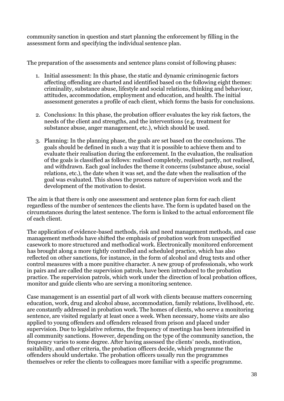community sanction in question and start planning the enforcement by filling in the assessment form and specifying the individual sentence plan.

The preparation of the assessments and sentence plans consist of following phases:

- 1. Initial assessment: In this phase, the static and dynamic criminogenic factors affecting offending are charted and identified based on the following eight themes: criminality, substance abuse, lifestyle and social relations, thinking and behaviour, attitudes, accommodation, employment and education, and health. The initial assessment generates a profile of each client, which forms the basis for conclusions.
- 2. Conclusions: In this phase, the probation officer evaluates the key risk factors, the needs of the client and strengths, and the interventions (e.g. treatment for substance abuse, anger management, etc.), which should be used.
- 3. Planning: In the planning phase, the goals are set based on the conclusions. The goals should be defined in such a way that it is possible to achieve them and to evaluate their realisation during the enforcement. In the evaluation, the realisation of the goals is classified as follows: realised completely, realised partly, not realised, and withdrawn. Each goal includes the theme it concerns (substance abuse, social relations, etc.), the date when it was set, and the date when the realisation of the goal was evaluated. This shows the process nature of supervision work and the development of the motivation to desist.

The aim is that there is only one assessment and sentence plan form for each client regardless of the number of sentences the clients have. The form is updated based on the circumstances during the latest sentence. The form is linked to the actual enforcement file of each client.

The application of evidence-based methods, risk and need management methods, and case management methods have shifted the emphasis of probation work from unspecified casework to more structured and methodical work. Electronically monitored enforcement has brought along a more tightly controlled and scheduled practice, which has also reflected on other sanctions, for instance, in the form of alcohol and drug tests and other control measures with a more punitive character. A new group of professionals, who work in pairs and are called the supervision patrols, have been introduced to the probation practice. The supervision patrols, which work under the direction of local probation offices, monitor and guide clients who are serving a monitoring sentence.

Case management is an essential part of all work with clients because matters concerning education, work, drug and alcohol abuse, accommodation, family relations, livelihood, etc. are constantly addressed in probation work. The homes of clients, who serve a monitoring sentence, are visited regularly at least once a week. When necessary, home visits are also applied to young offenders and offenders released from prison and placed under supervision. Due to legislative reforms, the frequency of meetings has been intensified in all community sanctions. However, depending on the type of the community sanction, the frequency varies to some degree. After having assessed the clients' needs, motivation, suitability, and other criteria, the probation officers decide, which programme the offenders should undertake. The probation officers usually run the programmes themselves or refer the clients to colleagues more familiar with a specific programme.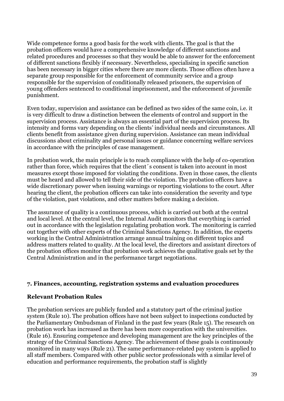Wide competence forms a good basis for the work with clients. The goal is that the probation officers would have a comprehensive knowledge of different sanctions and related procedures and processes so that they would be able to answer for the enforcement of different sanctions flexibly if necessary. Nevertheless, specialising in specific sanction has been necessary in bigger cities where there are more clients. Those offices often have a separate group responsible for the enforcement of community service and a group responsible for the supervision of conditionally released prisoners, the supervision of young offenders sentenced to conditional imprisonment, and the enforcement of juvenile punishment.

Even today, supervision and assistance can be defined as two sides of the same coin, i.e. it is very difficult to draw a distinction between the elements of control and support in the supervision process. Assistance is always an essential part of the supervision process. Its intensity and forms vary depending on the clients' individual needs and circumstances. All clients benefit from assistance given during supervision. Assistance can mean individual discussions about criminality and personal issues or guidance concerning welfare services in accordance with the principles of case management.

In probation work, the main principle is to reach compliance with the help of co-operation rather than force, which requires that the client's consent is taken into account in most measures except those imposed for violating the conditions. Even in those cases, the clients must be heard and allowed to tell their side of the violation. The probation officers have a wide discretionary power when issuing warnings or reporting violations to the court. After hearing the client, the probation officers can take into consideration the severity and type of the violation, past violations, and other matters before making a decision.

The assurance of quality is a continuous process, which is carried out both at the central and local level. At the central level, the Internal Audit monitors that everything is carried out in accordance with the legislation regulating probation work. The monitoring is carried out together with other experts of the Criminal Sanctions Agency. In addition, the experts working in the Central Administration arrange annual training on different topics and address matters related to quality. At the local level, the directors and assistant directors of the probation offices monitor that probation work achieves the qualitative goals set by the Central Administration and in the performance target negotiations.

#### **7. Finances, accounting, registration systems and evaluation procedures**

#### **Relevant Probation Rules**

The probation services are publicly funded and a statutory part of the criminal justice system (Rule 10). The probation offices have not been subject to inspections conducted by the Parliamentary Ombudsman of Finland in the past few years (Rule 15). The research on probation work has increased as there has been more cooperation with the universities. (Rule 16). Ensuring competence and developing management are the key principles of the strategy of the Criminal Sanctions Agency. The achievement of these goals is continuously monitored in many ways (Rule 21). The same performance-related pay system is applied to all staff members. Compared with other public sector professionals with a similar level of education and performance requirements, the probation staff is slightly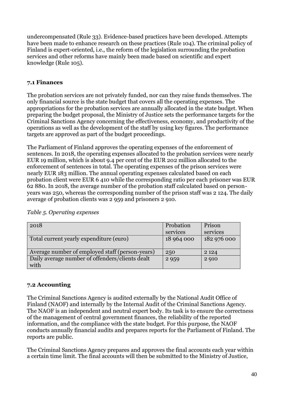undercompensated (Rule 33). Evidence-based practices have been developed. Attempts have been made to enhance research on these practices (Rule 104). The criminal policy of Finland is expert-oriented, i.e., the reform of the legislation surrounding the probation services and other reforms have mainly been made based on scientific and expert knowledge (Rule 105).

#### **7.1 Finances**

The probation services are not privately funded, nor can they raise funds themselves. The only financial source is the state budget that covers all the operating expenses. The appropriations for the probation services are annually allocated in the state budget. When preparing the budget proposal, the Ministry of Justice sets the performance targets for the Criminal Sanctions Agency concerning the effectiveness, economy, and productivity of the operations as well as the development of the staff by using key figures. The performance targets are approved as part of the budget proceedings.

The Parliament of Finland approves the operating expenses of the enforcement of sentences. In 2018, the operating expenses allocated to the probation services were nearly EUR 19 million, which is about 9.4 per cent of the EUR 202 million allocated to the enforcement of sentences in total. The operating expenses of the prison services were nearly EUR 183 million. The annual operating expenses calculated based on each probation client were EUR 6 410 while the corresponding ratio per each prisoner was EUR 62 880. In 2018, the average number of the probation staff calculated based on personyears was 250, whereas the corresponding number of the prison staff was 2 124. The daily average of probation clients was 2 959 and prisoners 2 910.

| 2018                                            | Probation  | Prison      |
|-------------------------------------------------|------------|-------------|
|                                                 | services   | services    |
| Total current yearly expenditure (euro)         | 18 964 000 | 182 976 000 |
|                                                 |            |             |
| Average number of employed staff (person-years) | 250        | 2 1 2 4     |
| Daily average number of offenders/clients dealt | 2 9 5 9    | 2 9 1 0     |
| with                                            |            |             |

#### *Table 5. Operating expenses*

#### **7.2 Accounting**

The Criminal Sanctions Agency is audited externally by the National Audit Office of Finland (NAOF) and internally by the Internal Audit of the Criminal Sanctions Agency. The NAOF is an independent and neutral expert body. Its task is to ensure the correctness of the management of central government finances, the reliability of the reported information, and the compliance with the state budget. For this purpose, the NAOF conducts annually financial audits and prepares reports for the Parliament of Finland. The reports are public.

The Criminal Sanctions Agency prepares and approves the final accounts each year within a certain time limit. The final accounts will then be submitted to the Ministry of Justice,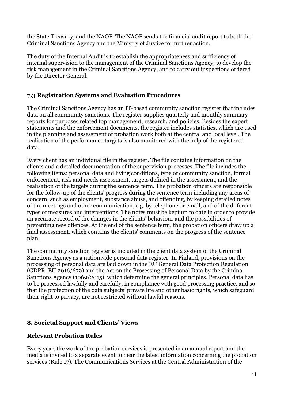the State Treasury, and the NAOF. The NAOF sends the financial audit report to both the Criminal Sanctions Agency and the Ministry of Justice for further action.

The duty of the Internal Audit is to establish the appropriateness and sufficiency of internal supervision to the management of the Criminal Sanctions Agency, to develop the risk management in the Criminal Sanctions Agency, and to carry out inspections ordered by the Director General.

#### **7.3 Registration Systems and Evaluation Procedures**

The Criminal Sanctions Agency has an IT-based community sanction register that includes data on all community sanctions. The register supplies quarterly and monthly summary reports for purposes related top management, research, and policies. Besides the expert statements and the enforcement documents, the register includes statistics, which are used in the planning and assessment of probation work both at the central and local level. The realisation of the performance targets is also monitored with the help of the registered data.

Every client has an individual file in the register. The file contains information on the clients and a detailed documentation of the supervision processes. The file includes the following items: personal data and living conditions, type of community sanction, formal enforcement, risk and needs assessment, targets defined in the assessment, and the realisation of the targets during the sentence term. The probation officers are responsible for the follow-up of the clients' progress during the sentence term including any areas of concern, such as employment, substance abuse, and offending, by keeping detailed notes of the meetings and other communication, e.g. by telephone or email, and of the different types of measures and interventions. The notes must be kept up to date in order to provide an accurate record of the changes in the clients' behaviour and the possibilities of preventing new offences. At the end of the sentence term, the probation officers draw up a final assessment, which contains the clients' comments on the progress of the sentence plan.

The community sanction register is included in the client data system of the Criminal Sanctions Agency as a nationwide personal data register. In Finland, provisions on the processing of personal data are laid down in the EU General Data Protection Regulation (GDPR, EU 2016/679) and the Act on the Processing of Personal Data by the Criminal Sanctions Agency (1069/2015), which determine the general principles. Personal data has to be processed lawfully and carefully, in compliance with good processing practice, and so that the protection of the data subjects' private life and other basic rights, which safeguard their right to privacy, are not restricted without lawful reasons.

# **8. Societal Support and Clients' Views**

#### **Relevant Probation Rules**

Every year, the work of the probation services is presented in an annual report and the media is invited to a separate event to hear the latest information concerning the probation services (Rule 17). The Communications Services at the Central Administration of the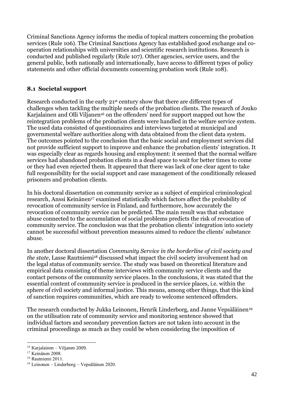Criminal Sanctions Agency informs the media of topical matters concerning the probation services (Rule 106). The Criminal Sanctions Agency has established good exchange and cooperation relationships with universities and scientific research institutions. Research is conducted and published regularly (Rule 107). Other agencies, service users, and the general public, both nationally and internationally, have access to different types of policy statements and other official documents concerning probation work (Rule 108).

#### **8.1 Societal support**

Research conducted in the early 21st century show that there are different types of challenges when tackling the multiple needs of the probation clients. The research of Jouko Karjalainen and Olli Viljanen<sup>16</sup> on the offenders' need for support mapped out how the reintegration problems of the probation clients were handled in the welfare service system. The used data consisted of questionnaires and interviews targeted at municipal and governmental welfare authorities along with data obtained from the client data system. The outcomes pointed to the conclusion that the basic social and employment services did not provide sufficient support to improve and enhance the probation clients' integration. It was especially clear as regards housing and employment: it seemed that the normal welfare services had abandoned probation clients in a dead space to wait for better times to come or they had even rejected them. It appeared that there was lack of one clear agent to take full responsibility for the social support and case management of the conditionally released prisoners and probation clients.

In his doctoral dissertation on community service as a subject of empirical criminological research, Anssi Keinänen<sup>17</sup> examined statistically which factors affect the probability of revocation of community service in Finland, and furthermore, how accurately the revocation of community service can be predicted. The main result was that substance abuse connected to the accumulation of social problems predicts the risk of revocation of community service. The conclusion was that the probation clients' integration into society cannot be successful without prevention measures aimed to reduce the clients' substance abuse.

In another doctoral dissertation *Community Service in the borderline of civil society and the state*, Lasse Rautniemi<sup>18</sup> discussed what impact the civil society involvement had on the legal status of community service. The study was based on theoretical literature and empirical data consisting of theme interviews with community service clients and the contact persons of the community service places. In the conclusions, it was stated that the essential content of community service is produced in the service places, i.e. within the sphere of civil society and informal justice. This means, among other things, that this kind of sanction requires communities, which are ready to welcome sentenced offenders.

The research conducted by Jukka Leinonen, Henrik Linderborg, and Janne Vepsäläinen<sup>19</sup> on the utilisation rate of community service and monitoring sentence showed that individual factors and secondary prevention factors are not taken into account in the criminal proceedings as much as they could be when considering the imposition of

<sup>&</sup>lt;u>.</u> <sup>16</sup> Karjalainen – Viljanen 2009.

<sup>&</sup>lt;sup>17</sup> Keinänen 2008.

<sup>&</sup>lt;sup>18</sup> Rautniemi 2011.

 $19$  Leinonen – Linderborg – Vepsäläinen 2020.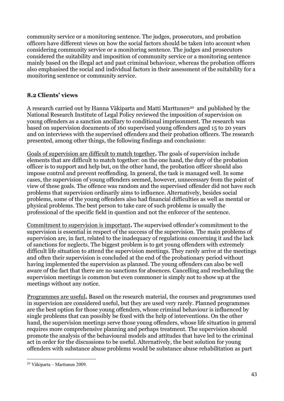community service or a monitoring sentence. The judges, prosecutors, and probation officers have different views on how the social factors should be taken into account when considering community service or a monitoring sentence. The judges and prosecutors considered the suitability and imposition of community service or a monitoring sentence mainly based on the illegal act and past criminal behaviour, whereas the probation officers also emphasised the social and individual factors in their assessment of the suitability for a monitoring sentence or community service.

#### **8.2 Clients' views**

A research carried out by Hanna Väkiparta and Matti Marttunen<sup>20</sup> and published by the National Research Institute of Legal Policy reviewed the imposition of supervision on young offenders as a sanction ancillary to conditional imprisonment. The research was based on supervision documents of 160 supervised young offenders aged 15 to 20 years and on interviews with the supervised offenders and their probation officers. The research presented, among other things, the following findings and conclusions:

Goals of supervision are difficult to match together**.** The goals of supervision include elements that are difficult to match together: on the one hand, the duty of the probation officer is to support and help but, on the other hand, the probation officer should also impose control and prevent reoffending. In general, the task is managed well. In some cases, the supervision of young offenders seemed, however, unnecessary from the point of view of these goals. The offence was random and the supervised offender did not have such problems that supervision ordinarily aims to influence. Alternatively, besides social problems, some of the young offenders also had financial difficulties as well as mental or physical problems. The best person to take care of such problems is usually the professional of the specific field in question and not the enforcer of the sentence.

Commitment to supervision is important**.** The supervised offender's commitment to the supervision is essential in respect of the success of the supervision. The main problems of supervision are, in fact, related to the inadequacy of regulations concerning it and the lack of sanctions for neglects. The biggest problem is to get young offenders with extremely difficult life situation to attend the supervision meetings. They rarely arrive at the meetings and often their supervision is concluded at the end of the probationary period without having implemented the supervision as planned. The young offenders can also be well aware of the fact that there are no sanctions for absences. Cancelling and rescheduling the supervision meetings is common but even commoner is simply not to show up at the meetings without any notice.

Programmes are useful**.** Based on the research material, the courses and programmes used in supervision are considered useful, but they are used very rarely. Planned programmes are the best option for those young offenders, whose criminal behaviour is influenced by single problems that can possibly be fixed with the help of interventions. On the other hand, the supervision meetings serve those young offenders, whose life situation in general requires more comprehensive planning and perhaps treatment. The supervision should promote the analysis of the behavioural models and attitudes that have led to the criminal act in order for the discussions to be useful. Alternatively, the best solution for young offenders with substance abuse problems would be substance abuse rehabilitation as part

<sup>1</sup> <sup>20</sup> Väkiparta – Marttunen 2009.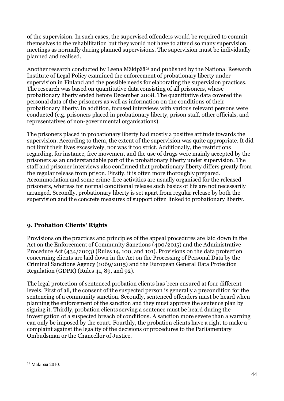of the supervision. In such cases, the supervised offenders would be required to commit themselves to the rehabilitation but they would not have to attend so many supervision meetings as normally during planned supervisions. The supervision must be individually planned and realised.

Another research conducted by Leena Mäkipää<sup>21</sup> and published by the National Research Institute of Legal Policy examined the enforcement of probationary liberty under supervision in Finland and the possible needs for elaborating the supervision practices. The research was based on quantitative data consisting of all prisoners, whose probationary liberty ended before December 2008. The quantitative data covered the personal data of the prisoners as well as information on the conditions of their probationary liberty. In addition, focused interviews with various relevant persons were conducted (e.g. prisoners placed in probationary liberty, prison staff, other officials, and representatives of non-governmental organisations).

The prisoners placed in probationary liberty had mostly a positive attitude towards the supervision. According to them, the extent of the supervision was quite appropriate. It did not limit their lives excessively, nor was it too strict. Additionally, the restrictions regarding, for instance, free movement and the use of drugs were mainly accepted by the prisoners as an understandable part of the probationary liberty under supervision. The staff and prisoner interviews also confirmed that probationary liberty differs greatly from the regular release from prison. Firstly, it is often more thoroughly prepared. Accommodation and some crime-free activities are usually organised for the released prisoners, whereas for normal conditional release such basics of life are not necessarily arranged. Secondly, probationary liberty is set apart from regular release by both the supervision and the concrete measures of support often linked to probationary liberty.

# **9. Probation Clients' Rights**

Provisions on the practices and principles of the appeal procedures are laid down in the Act on the Enforcement of Community Sanctions (400/2015) and the Administrative Procedure Act (434/2003) (Rules 14, 100, and 101). Provisions on the data protection concerning clients are laid down in the Act on the Processing of Personal Data by the Criminal Sanctions Agency (1069/2015) and the European General Data Protection Regulation (GDPR) (Rules 41, 89, and 92).

The legal protection of sentenced probation clients has been ensured at four different levels. First of all, the consent of the suspected person is generally a precondition for the sentencing of a community sanction. Secondly, sentenced offenders must be heard when planning the enforcement of the sanction and they must approve the sentence plan by signing it. Thirdly, probation clients serving a sentence must be heard during the investigation of a suspected breach of conditions. A sanction more severe than a warning can only be imposed by the court. Fourthly, the probation clients have a right to make a complaint against the legality of the decisions or procedures to the Parliamentary Ombudsman or the Chancellor of Justice.

<sup>1</sup>  $21$  Mäkipää 2010.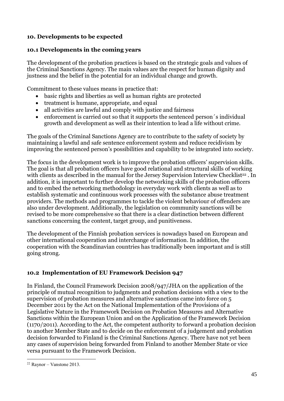# **10. Developments to be expected**

#### **10.1 Developments in the coming years**

The development of the probation practices is based on the strategic goals and values of the Criminal Sanctions Agency. The main values are the respect for human dignity and justness and the belief in the potential for an individual change and growth.

Commitment to these values means in practice that:

- basic rights and liberties as well as human rights are protected
- treatment is humane, appropriate, and equal
- all activities are lawful and comply with justice and fairness
- enforcement is carried out so that it supports the sentenced person´s individual growth and development as well as their intention to lead a life without crime.

The goals of the Criminal Sanctions Agency are to contribute to the safety of society by maintaining a lawful and safe sentence enforcement system and reduce recidivism by improving the sentenced person's possibilities and capability to be integrated into society.

The focus in the development work is to improve the probation officers' supervision skills. The goal is that all probation officers have good relational and structural skills of working with clients as described in the manual for the Jersey Supervision Interview Checklist<sup>22</sup>. In addition, it is important to further develop the networking skills of the probation officers and to embed the networking methodology in everyday work with clients as well as to establish systematic and continuous work processes with the substance abuse treatment providers. The methods and programmes to tackle the violent behaviour of offenders are also under development. Additionally, the legislation on community sanctions will be revised to be more comprehensive so that there is a clear distinction between different sanctions concerning the content, target group, and punitiveness.

The development of the Finnish probation services is nowadays based on European and other international cooperation and interchange of information. In addition, the cooperation with the Scandinavian countries has traditionally been important and is still going strong.

#### **10.2 Implementation of EU Framework Decision 947**

In Finland, the Council Framework Decision 2008/947/JHA on the application of the principle of mutual recognition to judgments and probation decisions with a view to the supervision of probation measures and alternative sanctions came into force on 5 December 2011 by the Act on the National Implementation of the Provisions of a Legislative Nature in the Framework Decision on Probation Measures and Alternative Sanctions within the European Union and on the Application of the Framework Decision (1170/2011). According to the Act, the competent authority to forward a probation decision to another Member State and to decide on the enforcement of a judgement and probation decision forwarded to Finland is the Criminal Sanctions Agency. There have not yet been any cases of supervision being forwarded from Finland to another Member State or vice versa pursuant to the Framework Decision.

<sup>1</sup>  $22$  Raynor – Vanstone 2013.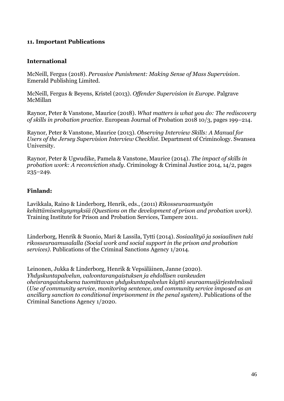#### **11. Important Publications**

#### **International**

McNeill, Fergus (2018). *Pervasive Punishment: Making Sense of Mass Supervision*. Emerald Publishing Limited.

McNeill, Fergus & Beyens, Kristel (2013). *Offender Supervision in Europe*. Palgrave McMillan

Raynor, Peter & Vanstone, Maurice (2018). *What matters is what you do: The rediscovery of skills in probation practice*. European Journal of Probation 2018 10/3, pages 199–214.

Raynor, Peter & Vanstone, Maurice (2013). *Observing Interview Skills: A Manual for Users of the Jersey Supervision Interview Checklist*. Department of Criminology. Swansea University.

Raynor, Peter & Ugwudike, Pamela & Vanstone, Maurice (2014). *The impact of skills in probation work: A reconviction study*. Criminology & Criminal Justice 2014, 14/2, pages 235–249.

#### **Finland:**

Lavikkala, Raino & Linderborg, Henrik, eds., (2011) *Rikosseuraamustyön kehittämisenkysymyksiä (Questions on the development of prison and probation work)*. Training Institute for Prison and Probation Services, Tampere 2011.

Linderborg, Henrik & Suonio, Mari & Lassila, Tytti (2014). *Sosiaalityö ja sosiaalinen tuki rikosseuraamusalalla (Social work and social support in the prison and probation services)*. Publications of the Criminal Sanctions Agency 1/2014.

Leinonen, Jukka & Linderborg, Henrik & Vepsäläinen, Janne (2020). *Yhdyskuntapalvelun, valvontarangaistuksen ja ehdollisen vankeuden oheisrangaistuksena tuomittavan yhdyskuntapalvelun käyttö seuraamusjärjestelmässä* (*Use of community service, monitoring sentence, and community service imposed as an ancillary sanction to conditional imprisonment in the penal system)*. Publications of the Criminal Sanctions Agency 1/2020.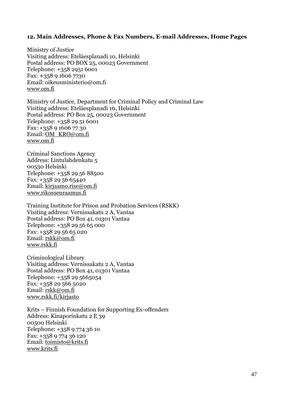#### **12. Main Addresses, Phone & Fax Numbers, E-mail Addresses, Home Pages**

Ministry of Justice Visiting address: Eteläesplanadi 10, Helsinki Postal address: PO BOX 25, 00023 Government Telephone: +358 2951 6001 Fax: **+**358 9 1606 7730 Email: oikeusministerio@om.fi [www.om.fi](http://www.om.fi/)

Ministry of Justice, Department for Criminal Policy and Criminal Law Visiting address: Eteläesplanadi 10, Helsinki Postal address: PO Box 25, 00023 Government Telephone: +358 29 51 6001 Fax: +358 9 1606 77 30 Email: [OM\\_KRO@om.fi](mailto:OM_KRO@om.fi) [www.om.fi](http://www.om.fi/)

Criminal Sanctions Agency Address: Lintulahdenkatu 5 00530 Helsinki Telephone: +358 29 56 88500 Fax: +358 29 56 65440 Email: [kirjaamo.rise@om.fi](mailto:kirjaamo.rise@om.fi) [www.rikosseuraamus.fi](http://www.rikosseuraamus.fi/)

Training Institute for Prison and Probation Services (RSKK) Visiting address: Vernissakatu 2 A, Vantaa Postal address: PO Box 41, 01301 Vantaa Telephone: +358 29 56 65 000 Fax: +358 29 56 65 020 Email: [rskk@om.fi](mailto:rskk@om.fi) [www.rskk.fi](http://www.rskk.fi/)

Criminological Library Visiting address: Vernissakatu 2 A, Vantaa Postal address: PO Box 41, 01301 Vantaa Telephone: +358 29 5665054 Fax: +358 29 566 5020 Email: [rskk@om.fi](mailto:rskk@om.fi) [www.rskk.fi/kirjasto](http://www.rskk.fi/kirjasto)

Krits – Finnish Foundation for Supporting Ex-offenders Address: Kinaporinkatu 2 E 39 00500 Helsinki Telephone: +358 9 774 36 10 Fax: +358 9 774 36 120 Email: [toimisto@krits.fi](mailto:toimisto@krits.fi) [www.krits.fi](http://www.krits.fi/)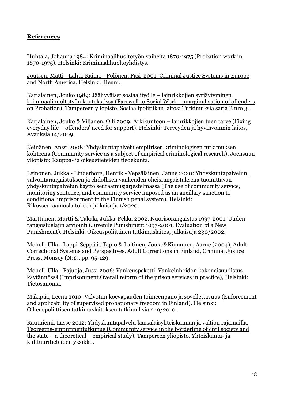# **References**

Huhtala, Johanna 1984: Kriminaalihuoltotyön vaiheita 1870-1975 (Probation work in 1870-1975). Helsinki: Kriminaalihuoltoyhdistys.

Joutsen, Matti - Lahti, Raimo - Pölönen, Pasi 2001: Criminal Justice Systems in Europe and North America. Helsinki: Heuni.

Karjalainen, Jouko 1989: Jäähyväiset sosiaalityölle – lainrikkojien syrjäytyminen kriminaalihuoltotyön kontekstissa (Farewell to Social Work – marginalisation of offenders on Probation). Tampereen yliopisto. Sosiaalipolitiikan laitos: Tutkimuksia sarja B nro 3.

Karjalainen, Jouko & Viljanen, Olli 2009: Arkikuntoon – lainrikkojien tuen tarve (Fixing everyday life – offenders' need for support). Helsinki: Terveyden ja hyvinvoinnin laitos, Avauksia 14/2009.

Keinänen, Anssi 2008: Yhdyskuntapalvelu empiirisen kriminologisen tutkimuksen kohteena (Community service as a subject of empirical criminological research). Joensuun yliopisto: Kauppa- ja oikeustieteiden tiedekunta.

Leinonen, Jukka - Linderborg, Henrik - Vepsäläinen, Janne 2020: Yhdyskuntapalvelun, valvontarangaistuksen ja ehdollisen vankeuden oheisrangaistuksena tuomittavan yhdyskuntapalvelun käyttö seuraamusjärjestelmässä (The use of community service, monitoring sentence, and community service imposed as an ancillary sanction to conditional imprisonment in the Finnish penal system). Helsinki: Rikosseuraamuslaitoksen julkaisuja 1/2020.

Marttunen, Martti & Takala, Jukka-Pekka 2002. Nuorisorangaistus 1997-2001. Uuden rangaistuslajin arviointi (Juvenile Punishment 1997-2001. Evaluation of a New Punishment). Helsinki. Oikeuspoliittinen tutkimuslaitos, julkaisuja 230/2002.

Mohell, Ulla - Lappi-Seppälä, Tapio & Laitinen, Jouko&Kinnunen, Aarne (2004), Adult Correctional Systems and Perspectives, Adult Corrections in Finland, Criminal Justice Press, Monsey (N:Y), pp. 95-129.

Mohell, Ulla - Pajuoja, Jussi 2006: Vankeuspaketti. Vankeinhoidon kokonaisuudistus käytännössä (Imprisonment.Overall reform of the prison services in practice), Helsinki: Tietosanoma.

Mäkipää, Leena 2010: Valvotun koevapauden toimeenpano ja sovellettavuus (Enforcement and applicability of supervised probationary freedom in Finland). Helsinki: Oikeuspoliittisen tutkimuslaitoksen tutkimuksia 249/2010.

Rautniemi, Lasse 2012: Yhdyskuntapalvelu kansalaisyhteiskunnan ja valtion rajamailla. Teoreettis-empiirinentutkimus (Community service in the borderline of civil society and the state – a theoretical – empirical study). Tampereen yliopisto. Yhteiskunta- ja kulttuuritieteiden yksikkö.